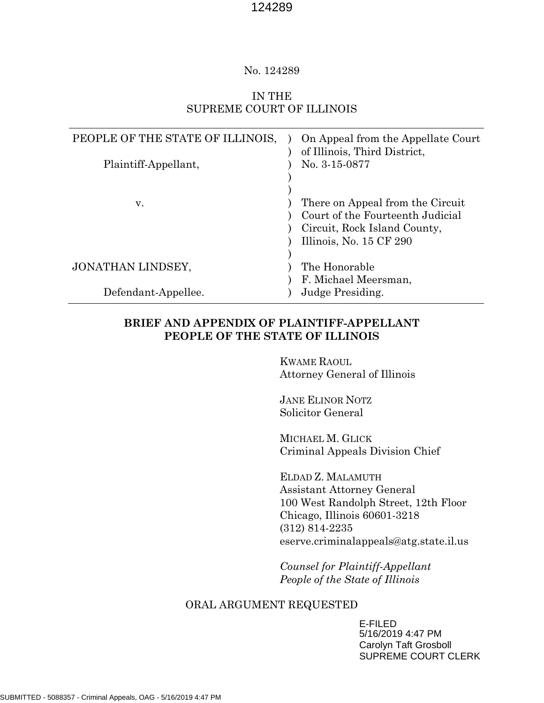#### No. 124289

#### IN THE SUPREME COURT OF ILLINOIS

| PEOPLE OF THE STATE OF ILLINOIS,<br>Plaintiff-Appellant, | On Appeal from the Appellate Court<br>of Illinois, Third District,<br>No. 3-15-0877                                             |
|----------------------------------------------------------|---------------------------------------------------------------------------------------------------------------------------------|
| v.                                                       | There on Appeal from the Circuit<br>Court of the Fourteenth Judicial<br>Circuit, Rock Island County,<br>Illinois, No. 15 CF 290 |
| JONATHAN LINDSEY,                                        | The Honorable<br>F. Michael Meersman,                                                                                           |
| Defendant-Appellee.                                      | Judge Presiding.                                                                                                                |

### **BRIEF AND APPENDIX OF PLAINTIFF-APPELLANT PEOPLE OF THE STATE OF ILLINOIS**

KWAME RAOUL Attorney General of Illinois

JANE ELINOR NOTZ Solicitor General

MICHAEL M. GLICK Criminal Appeals Division Chief

ELDAD Z. MALAMUTH Assistant Attorney General 100 West Randolph Street, 12th Floor Chicago, Illinois 60601-3218 (312) 814-2235 eserve.criminalappeals@atg.state.il.us

*Counsel for Plaintiff-Appellant People of the State of Illinois*

#### ORAL ARGUMENT REQUESTED

E-FILED 5/16/2019 4:47 PM Carolyn Taft Grosboll SUPREME COURT CLERK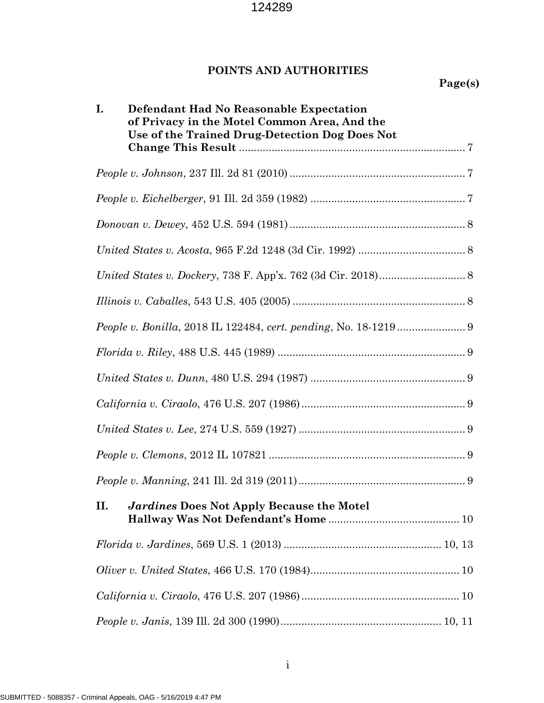# **POINTS AND AUTHORITIES**

| Defendant Had No Reasonable Expectation<br>Ι.<br>of Privacy in the Motel Common Area, And the<br>Use of the Trained Drug-Detection Dog Does Not |
|-------------------------------------------------------------------------------------------------------------------------------------------------|
|                                                                                                                                                 |
|                                                                                                                                                 |
|                                                                                                                                                 |
|                                                                                                                                                 |
|                                                                                                                                                 |
|                                                                                                                                                 |
| <i>People v. Bonilla, 2018 IL 122484, cert. pending, No. 18-1219 </i> 9                                                                         |
|                                                                                                                                                 |
|                                                                                                                                                 |
|                                                                                                                                                 |
|                                                                                                                                                 |
|                                                                                                                                                 |
|                                                                                                                                                 |
| П.<br>Jardines Does Not Apply Because the Motel                                                                                                 |
|                                                                                                                                                 |
|                                                                                                                                                 |
|                                                                                                                                                 |
|                                                                                                                                                 |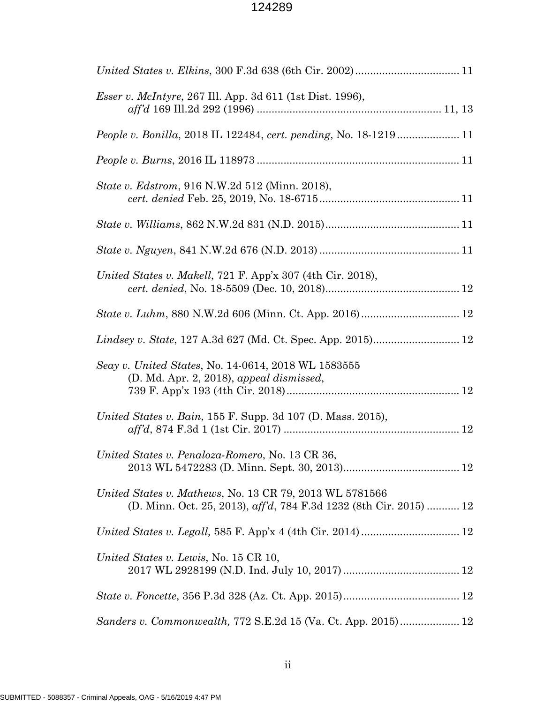| <i>Esser v. McIntyre, 267 Ill. App. 3d 611 (1st Dist. 1996),</i>                                                                     |
|--------------------------------------------------------------------------------------------------------------------------------------|
|                                                                                                                                      |
|                                                                                                                                      |
| State v. Edstrom, 916 N.W.2d 512 (Minn. 2018),                                                                                       |
|                                                                                                                                      |
|                                                                                                                                      |
| United States v. Makell, 721 F. App'x 307 (4th Cir. 2018),                                                                           |
|                                                                                                                                      |
|                                                                                                                                      |
| Seay v. United States, No. 14-0614, 2018 WL 1583555<br>(D. Md. Apr. 2, 2018), appeal dismissed,                                      |
| United States v. Bain, 155 F. Supp. 3d 107 (D. Mass. 2015),                                                                          |
| United States v. Penaloza-Romero, No. 13 CR 36,                                                                                      |
| <i>United States v. Mathews, No. 13 CR 79, 2013 WL 5781566</i><br>(D. Minn. Oct. 25, 2013), aff'd, 784 F.3d 1232 (8th Cir. 2015)  12 |
|                                                                                                                                      |
| United States v. Lewis, No. 15 CR 10,                                                                                                |
|                                                                                                                                      |
| Sanders v. Commonwealth, 772 S.E.2d 15 (Va. Ct. App. 2015) 12                                                                        |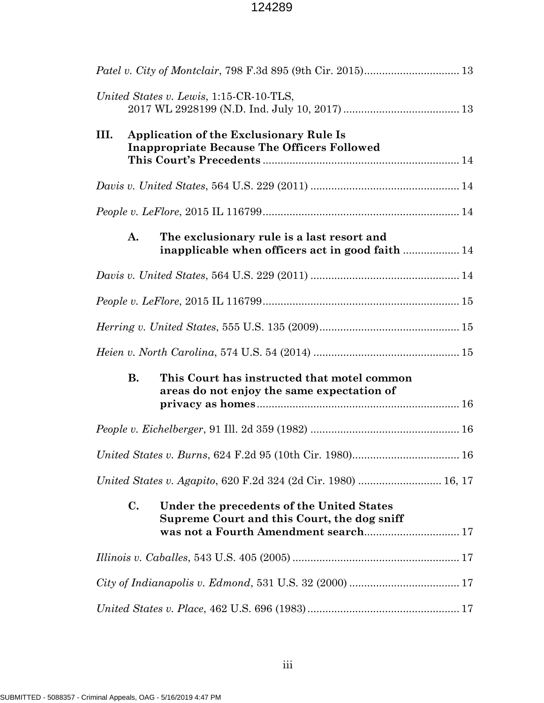| United States v. Lewis, 1:15-CR-10-TLS,                                                                                                            |
|----------------------------------------------------------------------------------------------------------------------------------------------------|
| <b>Application of the Exclusionary Rule Is</b><br>III.<br><b>Inappropriate Because The Officers Followed</b>                                       |
|                                                                                                                                                    |
|                                                                                                                                                    |
| A.<br>The exclusionary rule is a last resort and<br>inapplicable when officers act in good faith  14                                               |
|                                                                                                                                                    |
|                                                                                                                                                    |
|                                                                                                                                                    |
|                                                                                                                                                    |
|                                                                                                                                                    |
| В.<br>This Court has instructed that motel common<br>areas do not enjoy the same expectation of                                                    |
|                                                                                                                                                    |
| United States v. Burns, 624 F.2d 95 (10th Cir. 1980) 16                                                                                            |
| United States v. Agapito, 620 F.2d 324 (2d Cir. 1980)  16, 17                                                                                      |
| $\mathbf{C}$ .<br>Under the precedents of the United States<br>Supreme Court and this Court, the dog sniff<br>was not a Fourth Amendment search 17 |
|                                                                                                                                                    |
|                                                                                                                                                    |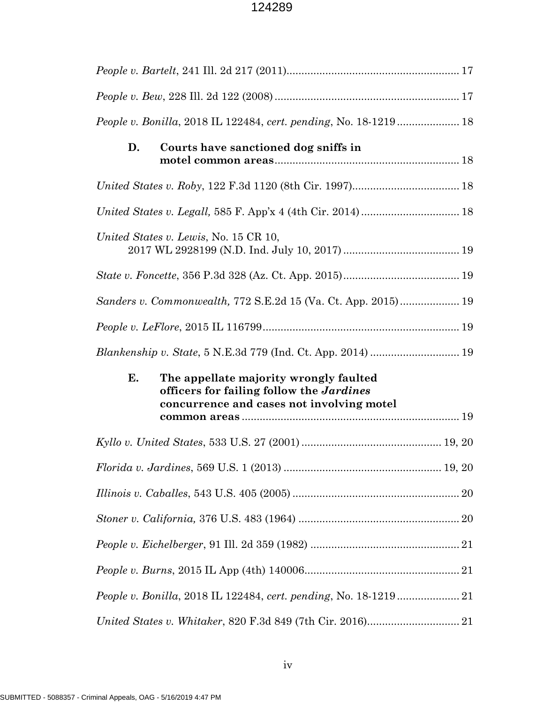| <i>People v. Bonilla, 2018 IL 122484, cert. pending, No. 18-1219 </i> 18                                                                     |
|----------------------------------------------------------------------------------------------------------------------------------------------|
| D.<br>Courts have sanctioned dog sniffs in                                                                                                   |
|                                                                                                                                              |
|                                                                                                                                              |
| United States v. Lewis, No. 15 CR 10,                                                                                                        |
|                                                                                                                                              |
|                                                                                                                                              |
|                                                                                                                                              |
|                                                                                                                                              |
|                                                                                                                                              |
| Е.<br>The appellate majority wrongly faulted<br>officers for failing follow the <i>Jardines</i><br>concurrence and cases not involving motel |
|                                                                                                                                              |
| $Florida\ v.\ Jardines,\ 569\ U.S.\ 1\ (2013)\ {}{}{}{}{}{}{}{}\ 19,20$                                                                      |
|                                                                                                                                              |
|                                                                                                                                              |
|                                                                                                                                              |
|                                                                                                                                              |
| People v. Bonilla, 2018 IL 122484, cert. pending, No. 18-1219  21                                                                            |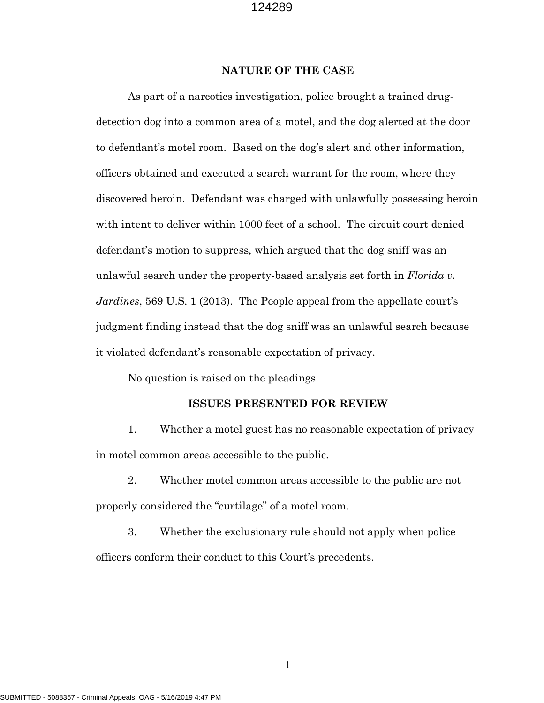#### **NATURE OF THE CASE**

As part of a narcotics investigation, police brought a trained drugdetection dog into a common area of a motel, and the dog alerted at the door to defendant's motel room. Based on the dog's alert and other information, officers obtained and executed a search warrant for the room, where they discovered heroin. Defendant was charged with unlawfully possessing heroin with intent to deliver within 1000 feet of a school. The circuit court denied defendant's motion to suppress, which argued that the dog sniff was an unlawful search under the property-based analysis set forth in *Florida v. Jardines*, 569 U.S. 1 (2013). The People appeal from the appellate court's judgment finding instead that the dog sniff was an unlawful search because it violated defendant's reasonable expectation of privacy.

No question is raised on the pleadings.

#### **ISSUES PRESENTED FOR REVIEW**

1. Whether a motel guest has no reasonable expectation of privacy in motel common areas accessible to the public.

2. Whether motel common areas accessible to the public are not properly considered the "curtilage" of a motel room.

3. Whether the exclusionary rule should not apply when police officers conform their conduct to this Court's precedents.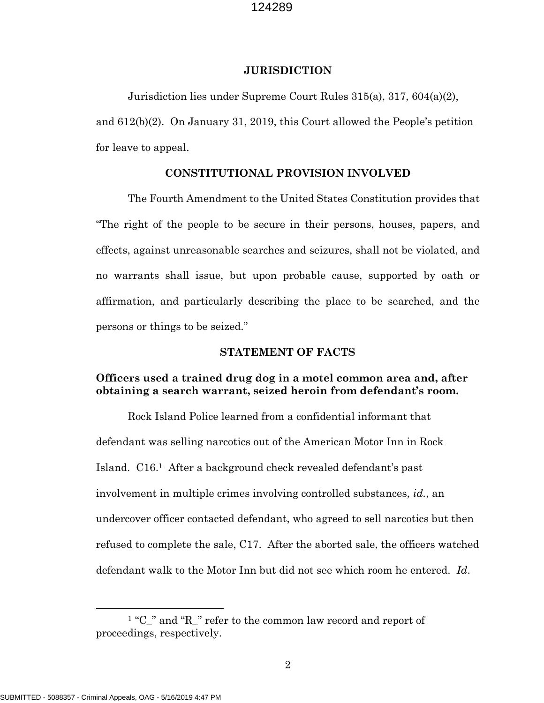#### **JURISDICTION**

Jurisdiction lies under Supreme Court Rules 315(a), 317, 604(a)(2), and 612(b)(2). On January 31, 2019, this Court allowed the People's petition for leave to appeal.

#### **CONSTITUTIONAL PROVISION INVOLVED**

The Fourth Amendment to the United States Constitution provides that "The right of the people to be secure in their persons, houses, papers, and effects, against unreasonable searches and seizures, shall not be violated, and no warrants shall issue, but upon probable cause, supported by oath or affirmation, and particularly describing the place to be searched, and the persons or things to be seized."

#### **STATEMENT OF FACTS**

#### **Officers used a trained drug dog in a motel common area and, after obtaining a search warrant, seized heroin from defendant's room.**

Rock Island Police learned from a confidential informant that defendant was selling narcotics out of the American Motor Inn in Rock Island. C16.[1](#page-6-0) After a background check revealed defendant's past involvement in multiple crimes involving controlled substances, *id.*, an undercover officer contacted defendant, who agreed to sell narcotics but then refused to complete the sale, C17. After the aborted sale, the officers watched defendant walk to the Motor Inn but did not see which room he entered. *Id*.

<span id="page-6-0"></span><sup>&</sup>lt;sup>1</sup> "C " and "R " refer to the common law record and report of proceedings, respectively.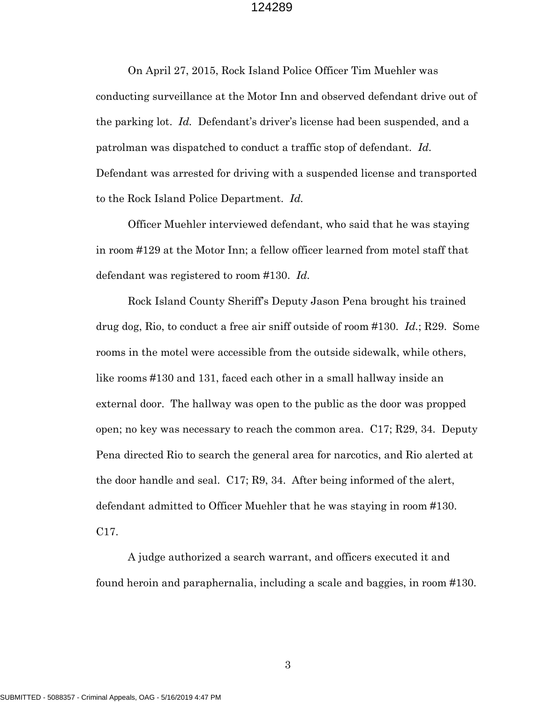On April 27, 2015, Rock Island Police Officer Tim Muehler was conducting surveillance at the Motor Inn and observed defendant drive out of the parking lot. *Id.* Defendant's driver's license had been suspended, and a patrolman was dispatched to conduct a traffic stop of defendant. *Id.* Defendant was arrested for driving with a suspended license and transported to the Rock Island Police Department. *Id.*

Officer Muehler interviewed defendant, who said that he was staying in room #129 at the Motor Inn; a fellow officer learned from motel staff that defendant was registered to room #130. *Id.*

Rock Island County Sheriff's Deputy Jason Pena brought his trained drug dog, Rio, to conduct a free air sniff outside of room #130. *Id.*; R29. Some rooms in the motel were accessible from the outside sidewalk, while others, like rooms #130 and 131, faced each other in a small hallway inside an external door. The hallway was open to the public as the door was propped open; no key was necessary to reach the common area. C17; R29, 34. Deputy Pena directed Rio to search the general area for narcotics, and Rio alerted at the door handle and seal. C17; R9, 34. After being informed of the alert, defendant admitted to Officer Muehler that he was staying in room #130. C17.

A judge authorized a search warrant, and officers executed it and found heroin and paraphernalia, including a scale and baggies, in room #130.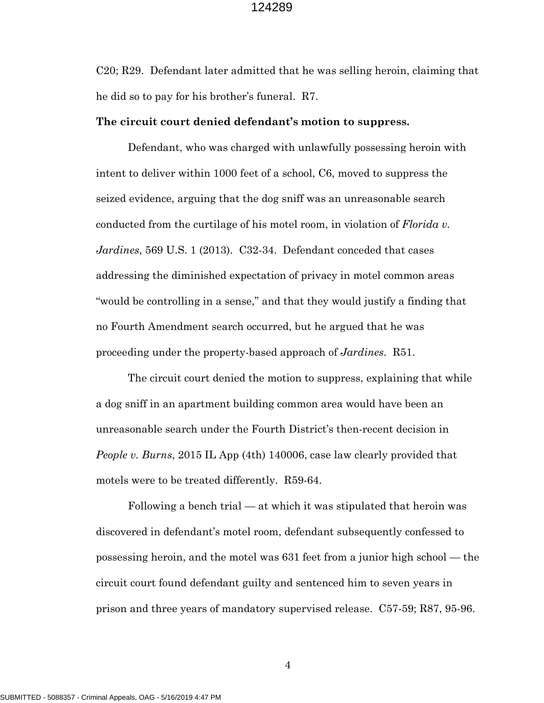C20; R29. Defendant later admitted that he was selling heroin, claiming that he did so to pay for his brother's funeral. R7.

#### **The circuit court denied defendant's motion to suppress.**

Defendant, who was charged with unlawfully possessing heroin with intent to deliver within 1000 feet of a school, C6, moved to suppress the seized evidence, arguing that the dog sniff was an unreasonable search conducted from the curtilage of his motel room, in violation of *Florida v. Jardines*, 569 U.S. 1 (2013). C32-34. Defendant conceded that cases addressing the diminished expectation of privacy in motel common areas "would be controlling in a sense," and that they would justify a finding that no Fourth Amendment search occurred, but he argued that he was proceeding under the property-based approach of *Jardines*. R51.

The circuit court denied the motion to suppress, explaining that while a dog sniff in an apartment building common area would have been an unreasonable search under the Fourth District's then-recent decision in *People v. Burns*, 2015 IL App (4th) 140006, case law clearly provided that motels were to be treated differently. R59-64.

Following a bench trial — at which it was stipulated that heroin was discovered in defendant's motel room, defendant subsequently confessed to possessing heroin, and the motel was 631 feet from a junior high school — the circuit court found defendant guilty and sentenced him to seven years in prison and three years of mandatory supervised release. C57-59; R87, 95-96.

SUBMITTED - 5088357 - Criminal Appeals, OAG - 5/16/2019 4:47 PM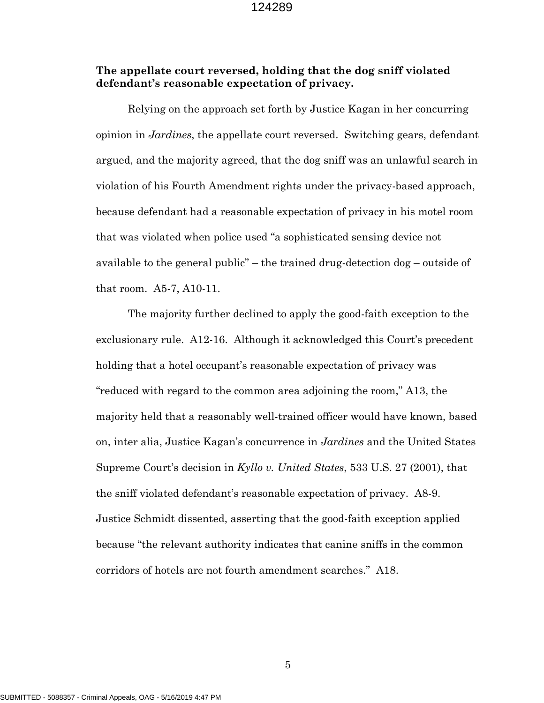#### **The appellate court reversed, holding that the dog sniff violated defendant's reasonable expectation of privacy.**

Relying on the approach set forth by Justice Kagan in her concurring opinion in *Jardines*, the appellate court reversed. Switching gears, defendant argued, and the majority agreed, that the dog sniff was an unlawful search in violation of his Fourth Amendment rights under the privacy-based approach, because defendant had a reasonable expectation of privacy in his motel room that was violated when police used "a sophisticated sensing device not available to the general public" – the trained drug-detection dog – outside of that room. A5-7, A10-11.

The majority further declined to apply the good-faith exception to the exclusionary rule. A12-16. Although it acknowledged this Court's precedent holding that a hotel occupant's reasonable expectation of privacy was "reduced with regard to the common area adjoining the room," A13, the majority held that a reasonably well-trained officer would have known, based on, inter alia, Justice Kagan's concurrence in *Jardines* and the United States Supreme Court's decision in *Kyllo v. United States*, 533 U.S. 27 (2001), that the sniff violated defendant's reasonable expectation of privacy. A8-9. Justice Schmidt dissented, asserting that the good-faith exception applied because "the relevant authority indicates that canine sniffs in the common corridors of hotels are not fourth amendment searches." A18.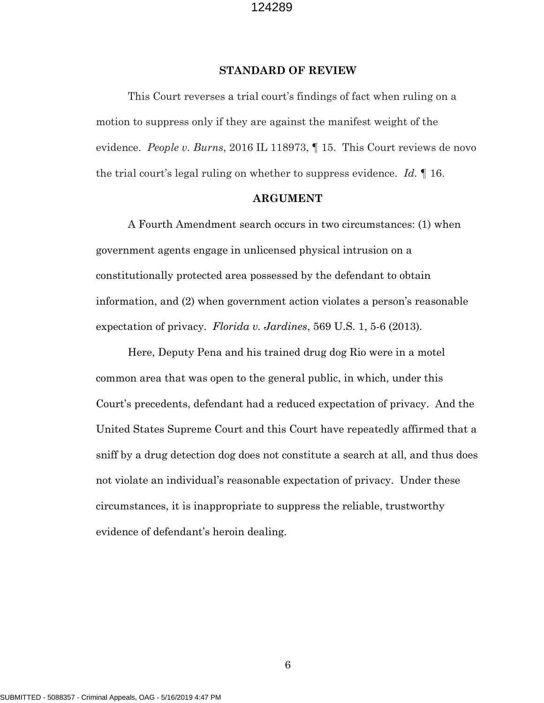#### **STANDARD OF REVIEW**

This Court reverses a trial court's findings of fact when ruling on a motion to suppress only if they are against the manifest weight of the evidence. *People v. Burns*, 2016 IL 118973, ¶ 15. This Court reviews de novo the trial court's legal ruling on whether to suppress evidence. *Id.* ¶ 16.

#### **ARGUMENT**

A Fourth Amendment search occurs in two circumstances: (1) when government agents engage in unlicensed physical intrusion on a constitutionally protected area possessed by the defendant to obtain information, and (2) when government action violates a person's reasonable expectation of privacy. *Florida v. Jardines*, 569 U.S. 1, 5-6 (2013).

Here, Deputy Pena and his trained drug dog Rio were in a motel common area that was open to the general public, in which, under this Court's precedents, defendant had a reduced expectation of privacy. And the United States Supreme Court and this Court have repeatedly affirmed that a sniff by a drug detection dog does not constitute a search at all, and thus does not violate an individual's reasonable expectation of privacy. Under these circumstances, it is inappropriate to suppress the reliable, trustworthy evidence of defendant's heroin dealing.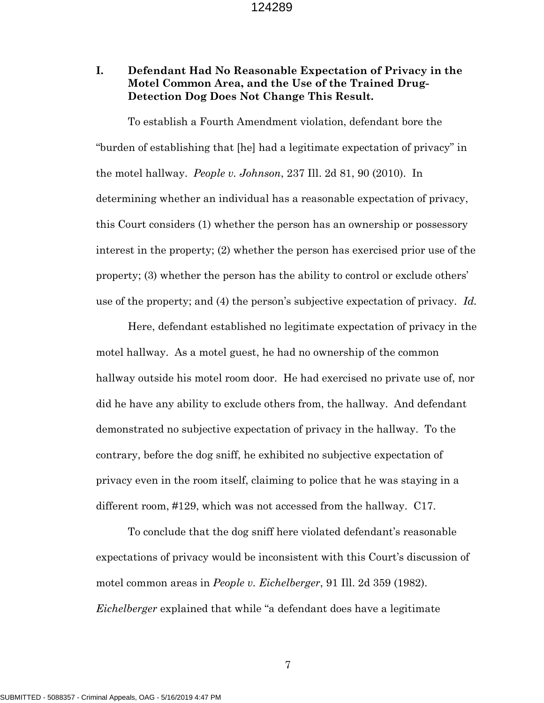#### **I. Defendant Had No Reasonable Expectation of Privacy in the Motel Common Area, and the Use of the Trained Drug-Detection Dog Does Not Change This Result.**

To establish a Fourth Amendment violation, defendant bore the "burden of establishing that [he] had a legitimate expectation of privacy" in the motel hallway. *People v. Johnson*, 237 Ill. 2d 81, 90 (2010). In determining whether an individual has a reasonable expectation of privacy, this Court considers (1) whether the person has an ownership or possessory interest in the property; (2) whether the person has exercised prior use of the property; (3) whether the person has the ability to control or exclude others' use of the property; and (4) the person's subjective expectation of privacy. *Id.*

Here, defendant established no legitimate expectation of privacy in the motel hallway. As a motel guest, he had no ownership of the common hallway outside his motel room door. He had exercised no private use of, nor did he have any ability to exclude others from, the hallway. And defendant demonstrated no subjective expectation of privacy in the hallway. To the contrary, before the dog sniff, he exhibited no subjective expectation of privacy even in the room itself, claiming to police that he was staying in a different room, #129, which was not accessed from the hallway. C17.

To conclude that the dog sniff here violated defendant's reasonable expectations of privacy would be inconsistent with this Court's discussion of motel common areas in *People v. Eichelberger*, 91 Ill. 2d 359 (1982). *Eichelberger* explained that while "a defendant does have a legitimate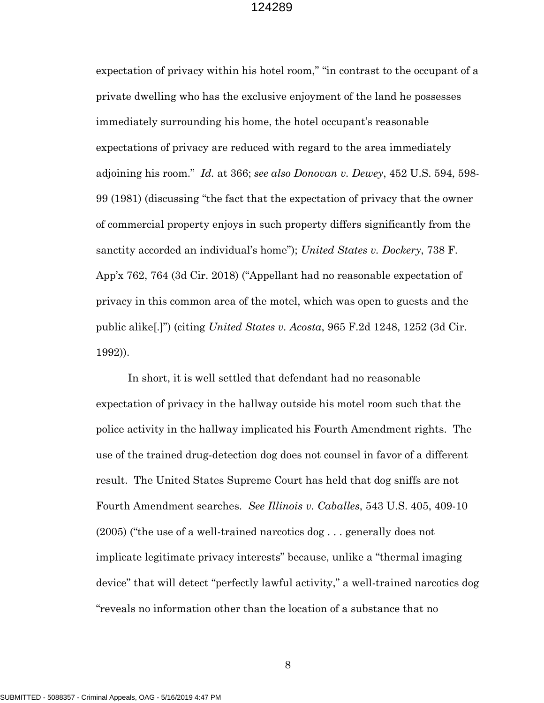expectation of privacy within his hotel room," "in contrast to the occupant of a private dwelling who has the exclusive enjoyment of the land he possesses immediately surrounding his home, the hotel occupant's reasonable expectations of privacy are reduced with regard to the area immediately adjoining his room." *Id.* at 366; *see also Donovan v. Dewey*, 452 U.S. 594, 598- 99 (1981) (discussing "the fact that the expectation of privacy that the owner of commercial property enjoys in such property differs significantly from the sanctity accorded an individual's home"); *United States v. Dockery*, 738 F. App'x 762, 764 (3d Cir. 2018) ("Appellant had no reasonable expectation of privacy in this common area of the motel, which was open to guests and the public alike[.]") (citing *United States v. Acosta*, 965 F.2d 1248, 1252 (3d Cir. 1992)).

In short, it is well settled that defendant had no reasonable expectation of privacy in the hallway outside his motel room such that the police activity in the hallway implicated his Fourth Amendment rights. The use of the trained drug-detection dog does not counsel in favor of a different result. The United States Supreme Court has held that dog sniffs are not Fourth Amendment searches. *See Illinois v. Caballes*, 543 U.S. 405, 409-10 (2005) ("the use of a well-trained narcotics dog . . . generally does not implicate legitimate privacy interests" because, unlike a "thermal imaging device" that will detect "perfectly lawful activity," a well-trained narcotics dog "reveals no information other than the location of a substance that no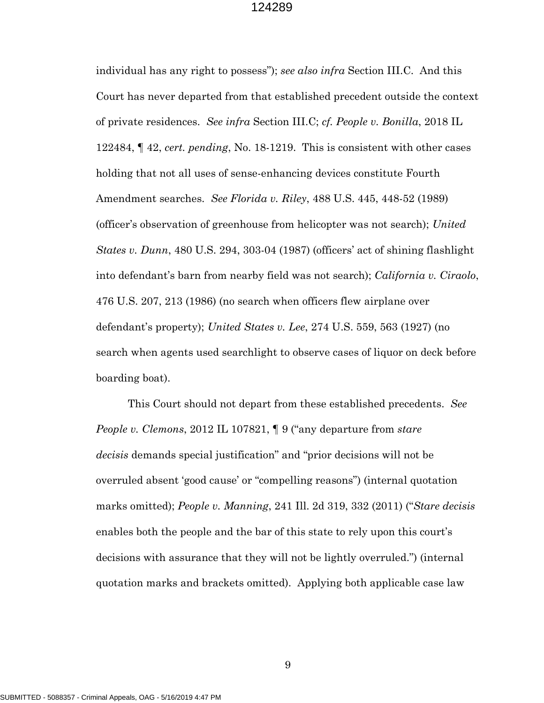individual has any right to possess"); *see also infra* Section III.C. And this Court has never departed from that established precedent outside the context of private residences. *See infra* Section III.C; *cf. People v. Bonilla*, 2018 IL 122484, ¶ 42, *cert. pending*, No. 18-1219. This is consistent with other cases holding that not all uses of sense-enhancing devices constitute Fourth Amendment searches. *See Florida v. Riley*, 488 U.S. 445, 448-52 (1989) (officer's observation of greenhouse from helicopter was not search); *United States v. Dunn*, 480 U.S. 294, 303-04 (1987) (officers' act of shining flashlight into defendant's barn from nearby field was not search); *California v. Ciraolo*, 476 U.S. 207, 213 (1986) (no search when officers flew airplane over defendant's property); *United States v. Lee*, 274 U.S. 559, 563 (1927) (no search when agents used searchlight to observe cases of liquor on deck before boarding boat).

This Court should not depart from these established precedents. *See People v. Clemons*, 2012 IL 107821, ¶ 9 ("any departure from *stare decisis* demands special justification" and "prior decisions will not be overruled absent 'good cause' or "compelling reasons") (internal quotation marks omitted); *People v. Manning*, 241 Ill. 2d 319, 332 (2011) ("*Stare decisis* enables both the people and the bar of this state to rely upon this court's decisions with assurance that they will not be lightly overruled.") (internal quotation marks and brackets omitted). Applying both applicable case law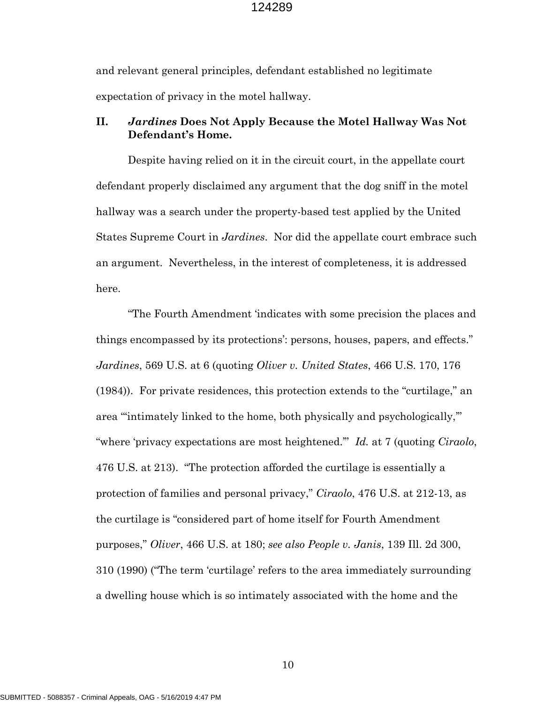and relevant general principles, defendant established no legitimate expectation of privacy in the motel hallway.

#### **II.** *Jardines* **Does Not Apply Because the Motel Hallway Was Not Defendant's Home.**

Despite having relied on it in the circuit court, in the appellate court defendant properly disclaimed any argument that the dog sniff in the motel hallway was a search under the property-based test applied by the United States Supreme Court in *Jardines*. Nor did the appellate court embrace such an argument. Nevertheless, in the interest of completeness, it is addressed here.

"The Fourth Amendment 'indicates with some precision the places and things encompassed by its protections': persons, houses, papers, and effects." *Jardines*, 569 U.S. at 6 (quoting *Oliver v. United States*, 466 U.S. 170, 176 (1984)). For private residences, this protection extends to the "curtilage," an area "'intimately linked to the home, both physically and psychologically,'" "where 'privacy expectations are most heightened.'" *Id.* at 7 (quoting *Ciraolo*, 476 U.S. at 213). "The protection afforded the curtilage is essentially a protection of families and personal privacy," *Ciraolo*, 476 U.S. at 212-13, as the curtilage is "considered part of home itself for Fourth Amendment purposes," *Oliver*, 466 U.S. at 180; *see also People v. Janis*, 139 Ill. 2d 300, 310 (1990) ("The term 'curtilage' refers to the area immediately surrounding a dwelling house which is so intimately associated with the home and the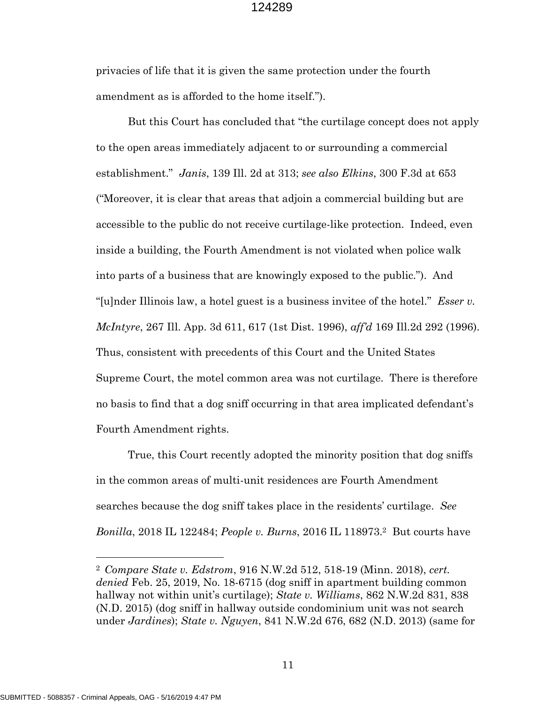privacies of life that it is given the same protection under the fourth amendment as is afforded to the home itself.").

But this Court has concluded that "the curtilage concept does not apply to the open areas immediately adjacent to or surrounding a commercial establishment." *Janis*, 139 Ill. 2d at 313; *see also Elkins*, 300 F.3d at 653 ("Moreover, it is clear that areas that adjoin a commercial building but are accessible to the public do not receive curtilage-like protection. Indeed, even inside a building, the Fourth Amendment is not violated when police walk into parts of a business that are knowingly exposed to the public."). And "[u]nder Illinois law, a hotel guest is a business invitee of the hotel." *Esser v. McIntyre*, 267 Ill. App. 3d 611, 617 (1st Dist. 1996), *aff'd* 169 Ill.2d 292 (1996). Thus, consistent with precedents of this Court and the United States Supreme Court, the motel common area was not curtilage. There is therefore no basis to find that a dog sniff occurring in that area implicated defendant's Fourth Amendment rights.

True, this Court recently adopted the minority position that dog sniffs in the common areas of multi-unit residences are Fourth Amendment searches because the dog sniff takes place in the residents' curtilage. *See Bonilla*, [2](#page-15-0)018 IL 122484; *People v. Burns*, 2016 IL 118973.<sup>2</sup> But courts have

<span id="page-15-0"></span><sup>2</sup> *Compare State v. Edstrom*, 916 N.W.2d 512, 518-19 (Minn. 2018), *cert. denied* Feb. 25, 2019, No. 18-6715 (dog sniff in apartment building common hallway not within unit's curtilage); *State v. Williams*, 862 N.W.2d 831, 838 (N.D. 2015) (dog sniff in hallway outside condominium unit was not search under *Jardines*); *State v. Nguyen*, 841 N.W.2d 676, 682 (N.D. 2013) (same for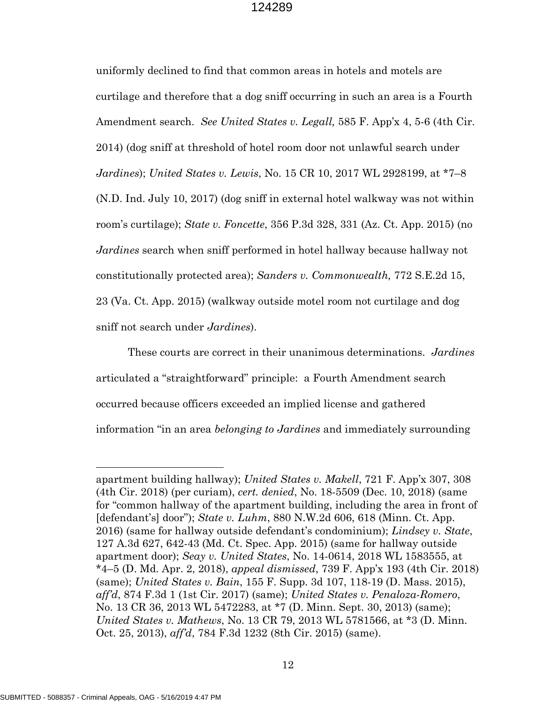uniformly declined to find that common areas in hotels and motels are curtilage and therefore that a dog sniff occurring in such an area is a Fourth Amendment search. *See United States v. Legall,* 585 F. App'x 4, 5-6 (4th Cir. 2014) (dog sniff at threshold of hotel room door not unlawful search under *Jardines*); *United States v. Lewis*, No. 15 CR 10, 2017 WL 2928199, at \*7–8 (N.D. Ind. July 10, 2017) (dog sniff in external hotel walkway was not within room's curtilage); *State v. Foncette*, 356 P.3d 328, 331 (Az. Ct. App. 2015) (no *Jardines* search when sniff performed in hotel hallway because hallway not constitutionally protected area); *Sanders v. Commonwealth,* 772 S.E.2d 15, 23 (Va. Ct. App. 2015) (walkway outside motel room not curtilage and dog sniff not search under *Jardines*).

These courts are correct in their unanimous determinations. *Jardines* articulated a "straightforward" principle: a Fourth Amendment search occurred because officers exceeded an implied license and gathered information "in an area *belonging to Jardines* and immediately surrounding

apartment building hallway); *United States v. Makell*, 721 F. App'x 307, 308 (4th Cir. 2018) (per curiam), *cert. denied*, No. 18-5509 (Dec. 10, 2018) (same for "common hallway of the apartment building, including the area in front of [defendant's] door"); *State v. Luhm*, 880 N.W.2d 606, 618 (Minn. Ct. App. 2016) (same for hallway outside defendant's condominium); *Lindsey v. State*, 127 A.3d 627, 642-43 (Md. Ct. Spec. App. 2015) (same for hallway outside apartment door); *Seay v. United States*, No. 14-0614, 2018 WL 1583555, at \*4–5 (D. Md. Apr. 2, 2018), *appeal dismissed*, 739 F. App'x 193 (4th Cir. 2018) (same); *United States v. Bain*, 155 F. Supp. 3d 107, 118-19 (D. Mass. 2015), *aff'd*, 874 F.3d 1 (1st Cir. 2017) (same); *United States v. Penaloza-Romero*, No. 13 CR 36, 2013 WL 5472283, at \*7 (D. Minn. Sept. 30, 2013) (same); *United States v. Mathews*, No. 13 CR 79, 2013 WL 5781566, at \*3 (D. Minn. Oct. 25, 2013), *aff'd*, 784 F.3d 1232 (8th Cir. 2015) (same).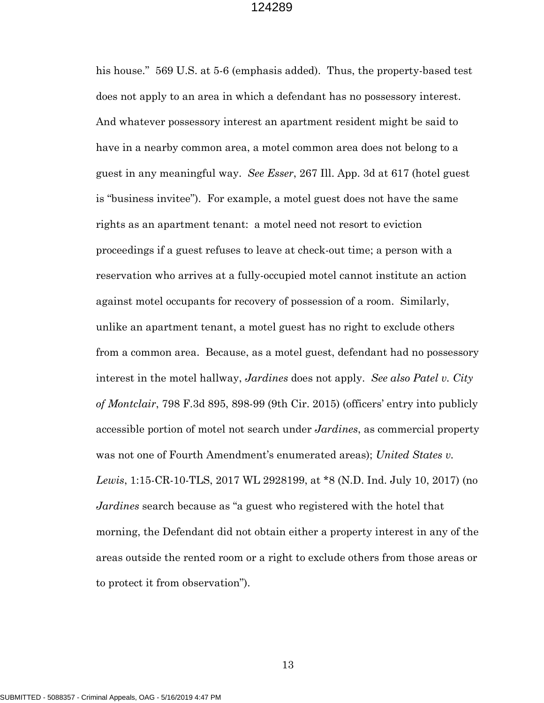his house." 569 U.S. at 5-6 (emphasis added). Thus, the property-based test does not apply to an area in which a defendant has no possessory interest. And whatever possessory interest an apartment resident might be said to have in a nearby common area, a motel common area does not belong to a guest in any meaningful way. *See Esser*, 267 Ill. App. 3d at 617 (hotel guest is "business invitee"). For example, a motel guest does not have the same rights as an apartment tenant: a motel need not resort to eviction proceedings if a guest refuses to leave at check-out time; a person with a reservation who arrives at a fully-occupied motel cannot institute an action against motel occupants for recovery of possession of a room. Similarly, unlike an apartment tenant, a motel guest has no right to exclude others from a common area. Because, as a motel guest, defendant had no possessory interest in the motel hallway, *Jardines* does not apply. *See also Patel v. City of Montclair*, 798 F.3d 895, 898-99 (9th Cir. 2015) (officers' entry into publicly accessible portion of motel not search under *Jardines*, as commercial property was not one of Fourth Amendment's enumerated areas); *United States v. Lewis*, 1:15-CR-10-TLS, 2017 WL 2928199, at \*8 (N.D. Ind. July 10, 2017) (no *Jardines* search because as "a guest who registered with the hotel that morning, the Defendant did not obtain either a property interest in any of the areas outside the rented room or a right to exclude others from those areas or to protect it from observation").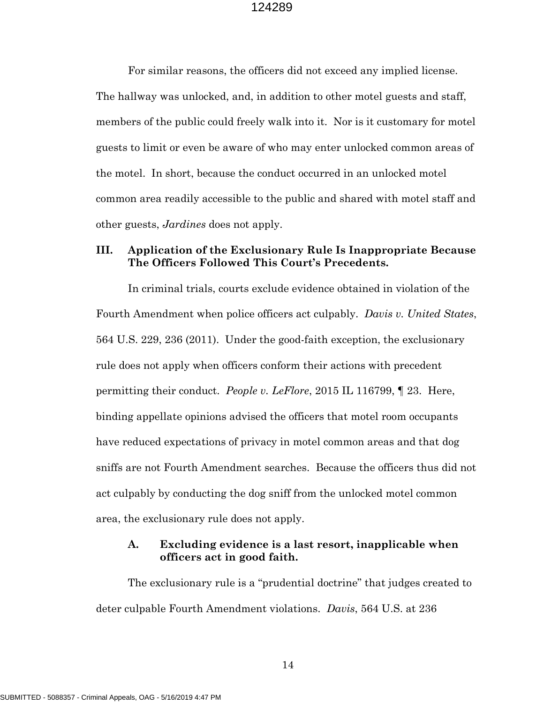For similar reasons, the officers did not exceed any implied license. The hallway was unlocked, and, in addition to other motel guests and staff, members of the public could freely walk into it. Nor is it customary for motel guests to limit or even be aware of who may enter unlocked common areas of the motel. In short, because the conduct occurred in an unlocked motel common area readily accessible to the public and shared with motel staff and other guests, *Jardines* does not apply.

#### **III. Application of the Exclusionary Rule Is Inappropriate Because The Officers Followed This Court's Precedents.**

In criminal trials, courts exclude evidence obtained in violation of the Fourth Amendment when police officers act culpably. *Davis v. United States*, 564 U.S. 229, 236 (2011). Under the good-faith exception, the exclusionary rule does not apply when officers conform their actions with precedent permitting their conduct. *People v. LeFlore*, 2015 IL 116799, ¶ 23. Here, binding appellate opinions advised the officers that motel room occupants have reduced expectations of privacy in motel common areas and that dog sniffs are not Fourth Amendment searches. Because the officers thus did not act culpably by conducting the dog sniff from the unlocked motel common area, the exclusionary rule does not apply.

#### **A. Excluding evidence is a last resort, inapplicable when officers act in good faith.**

The exclusionary rule is a "prudential doctrine" that judges created to deter culpable Fourth Amendment violations. *Davis*, 564 U.S. at 236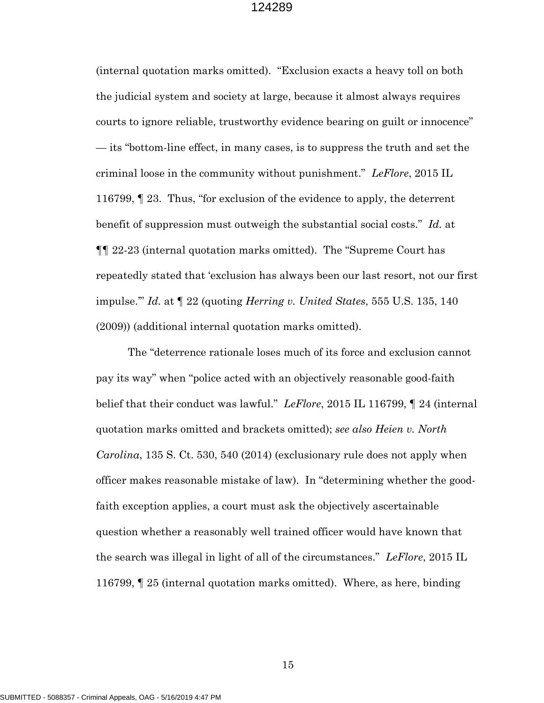(internal quotation marks omitted). "Exclusion exacts a heavy toll on both the judicial system and society at large, because it almost always requires courts to ignore reliable, trustworthy evidence bearing on guilt or innocence" — its "bottom-line effect, in many cases, is to suppress the truth and set the criminal loose in the community without punishment." *LeFlore*, 2015 IL 116799, ¶ 23. Thus, "for exclusion of the evidence to apply, the deterrent benefit of suppression must outweigh the substantial social costs." *Id.* at ¶¶ 22-23 (internal quotation marks omitted). The "Supreme Court has repeatedly stated that 'exclusion has always been our last resort, not our first impulse.'" *Id.* at ¶ 22 (quoting *Herring v. United States*, 555 U.S. 135, 140 (2009)) (additional internal quotation marks omitted).

The "deterrence rationale loses much of its force and exclusion cannot pay its way" when "police acted with an objectively reasonable good-faith belief that their conduct was lawful." *LeFlore*, 2015 IL 116799, ¶ 24 (internal quotation marks omitted and brackets omitted); *see also Heien v. North Carolina*, 135 S. Ct. 530, 540 (2014) (exclusionary rule does not apply when officer makes reasonable mistake of law). In "determining whether the goodfaith exception applies, a court must ask the objectively ascertainable question whether a reasonably well trained officer would have known that the search was illegal in light of all of the circumstances." *LeFlore*, 2015 IL 116799, ¶ 25 (internal quotation marks omitted). Where, as here, binding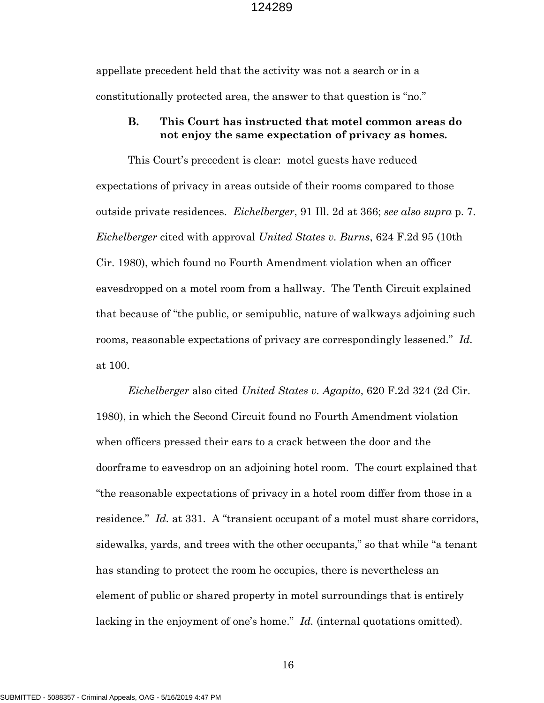appellate precedent held that the activity was not a search or in a constitutionally protected area, the answer to that question is "no."

#### **B. This Court has instructed that motel common areas do not enjoy the same expectation of privacy as homes.**

This Court's precedent is clear: motel guests have reduced expectations of privacy in areas outside of their rooms compared to those outside private residences. *Eichelberger*, 91 Ill. 2d at 366; *see also supra* p. 7. *Eichelberger* cited with approval *United States v. Burns*, 624 F.2d 95 (10th Cir. 1980), which found no Fourth Amendment violation when an officer eavesdropped on a motel room from a hallway. The Tenth Circuit explained that because of "the public, or semipublic, nature of walkways adjoining such rooms, reasonable expectations of privacy are correspondingly lessened." *Id.* at 100.

*Eichelberger* also cited *United States v. Agapito*, 620 F.2d 324 (2d Cir. 1980), in which the Second Circuit found no Fourth Amendment violation when officers pressed their ears to a crack between the door and the doorframe to eavesdrop on an adjoining hotel room. The court explained that "the reasonable expectations of privacy in a hotel room differ from those in a residence." *Id.* at 331. A "transient occupant of a motel must share corridors, sidewalks, yards, and trees with the other occupants," so that while "a tenant has standing to protect the room he occupies, there is nevertheless an element of public or shared property in motel surroundings that is entirely lacking in the enjoyment of one's home." *Id.* (internal quotations omitted).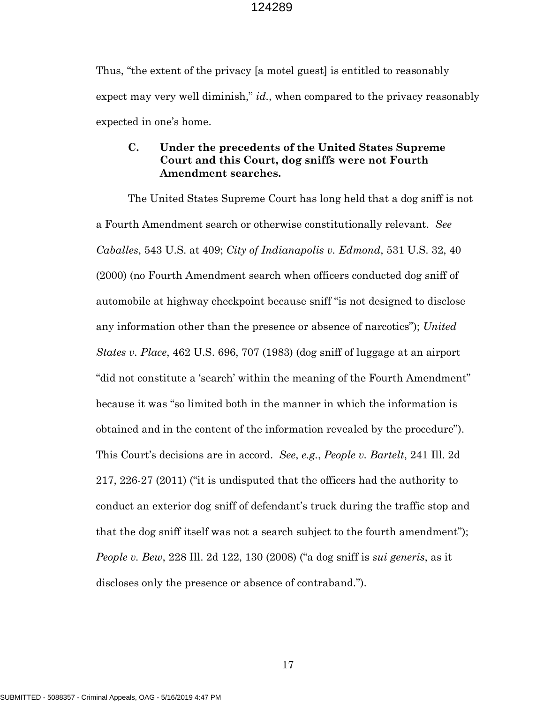Thus, "the extent of the privacy [a motel guest] is entitled to reasonably expect may very well diminish," *id.*, when compared to the privacy reasonably expected in one's home.

#### **C. Under the precedents of the United States Supreme Court and this Court, dog sniffs were not Fourth Amendment searches.**

The United States Supreme Court has long held that a dog sniff is not a Fourth Amendment search or otherwise constitutionally relevant. *See Caballes*, 543 U.S. at 409; *City of Indianapolis v. Edmond*, 531 U.S. 32, 40 (2000) (no Fourth Amendment search when officers conducted dog sniff of automobile at highway checkpoint because sniff "is not designed to disclose any information other than the presence or absence of narcotics"); *United States v. Place*, 462 U.S. 696, 707 (1983) (dog sniff of luggage at an airport "did not constitute a 'search' within the meaning of the Fourth Amendment" because it was "so limited both in the manner in which the information is obtained and in the content of the information revealed by the procedure"). This Court's decisions are in accord. *See*, *e.g.*, *People v. Bartelt*, 241 Ill. 2d 217, 226-27 (2011) ("it is undisputed that the officers had the authority to conduct an exterior dog sniff of defendant's truck during the traffic stop and that the dog sniff itself was not a search subject to the fourth amendment"); *People v. Bew*, 228 Ill. 2d 122, 130 (2008) ("a dog sniff is *sui generis*, as it discloses only the presence or absence of contraband.").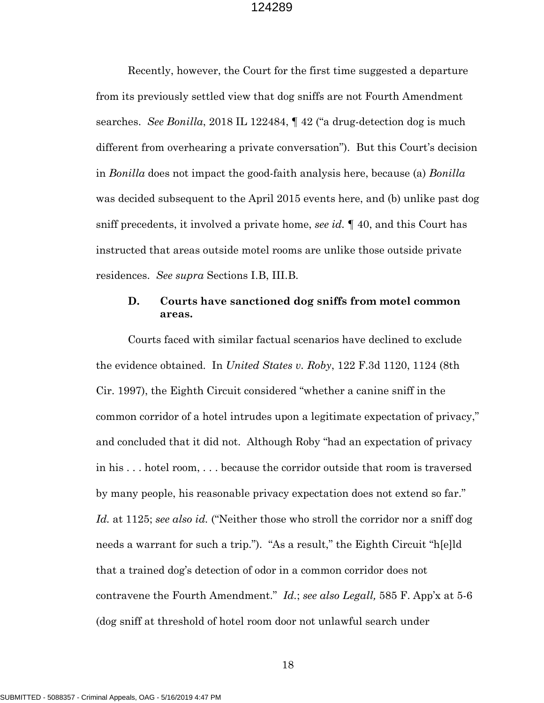Recently, however, the Court for the first time suggested a departure from its previously settled view that dog sniffs are not Fourth Amendment searches. *See Bonilla*, 2018 IL 122484, ¶ 42 ("a drug-detection dog is much different from overhearing a private conversation"). But this Court's decision in *Bonilla* does not impact the good-faith analysis here, because (a) *Bonilla* was decided subsequent to the April 2015 events here, and (b) unlike past dog sniff precedents, it involved a private home, *see id.* ¶ 40, and this Court has instructed that areas outside motel rooms are unlike those outside private residences. *See supra* Sections I.B, III.B.

#### **D. Courts have sanctioned dog sniffs from motel common areas.**

Courts faced with similar factual scenarios have declined to exclude the evidence obtained. In *United States v. Roby*, 122 F.3d 1120, 1124 (8th Cir. 1997), the Eighth Circuit considered "whether a canine sniff in the common corridor of a hotel intrudes upon a legitimate expectation of privacy," and concluded that it did not. Although Roby "had an expectation of privacy in his . . . hotel room, . . . because the corridor outside that room is traversed by many people, his reasonable privacy expectation does not extend so far." *Id.* at 1125; *see also id.* ("Neither those who stroll the corridor nor a sniff dog needs a warrant for such a trip."). "As a result," the Eighth Circuit "h[e]ld that a trained dog's detection of odor in a common corridor does not contravene the Fourth Amendment." *Id.*; *see also Legall,* 585 F. App'x at 5-6 (dog sniff at threshold of hotel room door not unlawful search under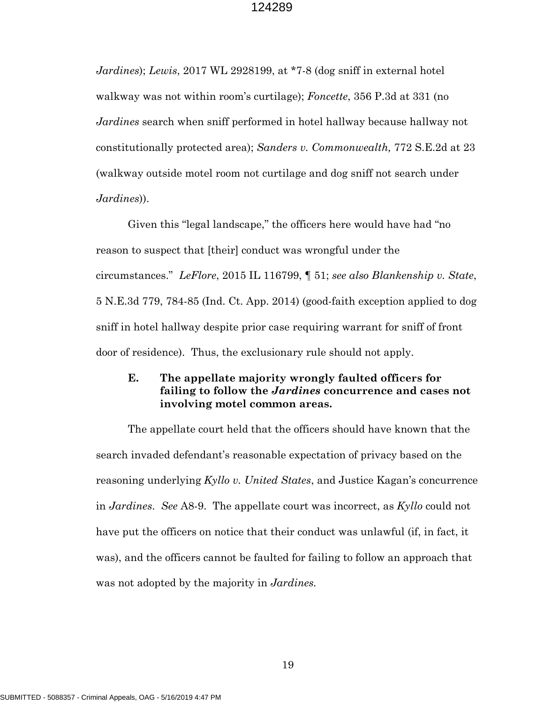*Jardines*); *Lewis*, 2017 WL 2928199, at \*7-8 (dog sniff in external hotel walkway was not within room's curtilage); *Foncette*, 356 P.3d at 331 (no *Jardines* search when sniff performed in hotel hallway because hallway not constitutionally protected area); *Sanders v. Commonwealth,* 772 S.E.2d at 23 (walkway outside motel room not curtilage and dog sniff not search under *Jardines*)).

Given this "legal landscape," the officers here would have had "no reason to suspect that [their] conduct was wrongful under the circumstances." *LeFlore*, 2015 IL 116799, ¶ 51; *see also Blankenship v. State*, 5 N.E.3d 779, 784-85 (Ind. Ct. App. 2014) (good-faith exception applied to dog sniff in hotel hallway despite prior case requiring warrant for sniff of front door of residence). Thus, the exclusionary rule should not apply.

### **E. The appellate majority wrongly faulted officers for failing to follow the** *Jardines* **concurrence and cases not involving motel common areas.**

The appellate court held that the officers should have known that the search invaded defendant's reasonable expectation of privacy based on the reasoning underlying *Kyllo v. United States*, and Justice Kagan's concurrence in *Jardines*. *See* A8-9. The appellate court was incorrect, as *Kyllo* could not have put the officers on notice that their conduct was unlawful (if, in fact, it was), and the officers cannot be faulted for failing to follow an approach that was not adopted by the majority in *Jardines.*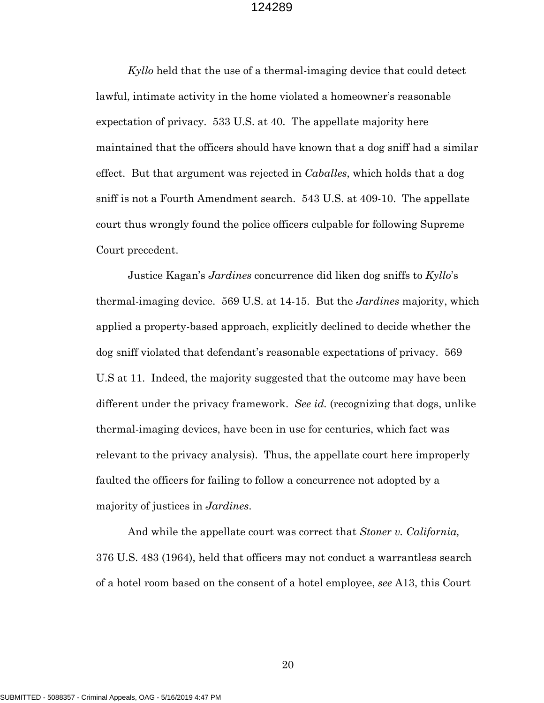*Kyllo* held that the use of a thermal-imaging device that could detect lawful, intimate activity in the home violated a homeowner's reasonable expectation of privacy. 533 U.S. at 40. The appellate majority here maintained that the officers should have known that a dog sniff had a similar effect. But that argument was rejected in *Caballes*, which holds that a dog sniff is not a Fourth Amendment search. 543 U.S. at 409-10. The appellate court thus wrongly found the police officers culpable for following Supreme Court precedent.

Justice Kagan's *Jardines* concurrence did liken dog sniffs to *Kyllo*'s thermal-imaging device. 569 U.S. at 14-15. But the *Jardines* majority, which applied a property-based approach, explicitly declined to decide whether the dog sniff violated that defendant's reasonable expectations of privacy. 569 U.S at 11. Indeed, the majority suggested that the outcome may have been different under the privacy framework. *See id.* (recognizing that dogs, unlike thermal-imaging devices, have been in use for centuries, which fact was relevant to the privacy analysis). Thus, the appellate court here improperly faulted the officers for failing to follow a concurrence not adopted by a majority of justices in *Jardines*.

And while the appellate court was correct that *Stoner v. California,* 376 U.S. 483 (1964), held that officers may not conduct a warrantless search of a hotel room based on the consent of a hotel employee, *see* A13, this Court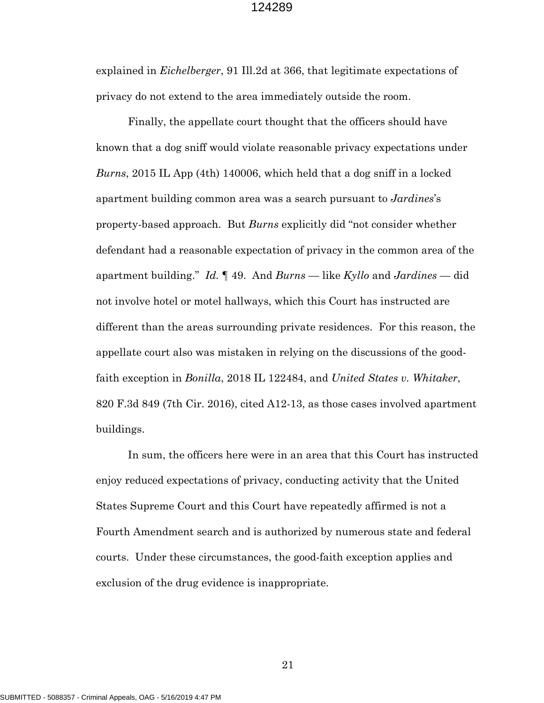explained in *Eichelberger*, 91 Ill.2d at 366, that legitimate expectations of privacy do not extend to the area immediately outside the room.

Finally, the appellate court thought that the officers should have known that a dog sniff would violate reasonable privacy expectations under *Burns*, 2015 IL App (4th) 140006, which held that a dog sniff in a locked apartment building common area was a search pursuant to *Jardines*'s property-based approach. But *Burns* explicitly did "not consider whether defendant had a reasonable expectation of privacy in the common area of the apartment building." *Id.* ¶ 49. And *Burns* — like *Kyllo* and *Jardines* — did not involve hotel or motel hallways, which this Court has instructed are different than the areas surrounding private residences. For this reason, the appellate court also was mistaken in relying on the discussions of the goodfaith exception in *Bonilla*, 2018 IL 122484, and *United States v. Whitaker*, 820 F.3d 849 (7th Cir. 2016), cited A12-13, as those cases involved apartment buildings.

In sum, the officers here were in an area that this Court has instructed enjoy reduced expectations of privacy, conducting activity that the United States Supreme Court and this Court have repeatedly affirmed is not a Fourth Amendment search and is authorized by numerous state and federal courts. Under these circumstances, the good-faith exception applies and exclusion of the drug evidence is inappropriate.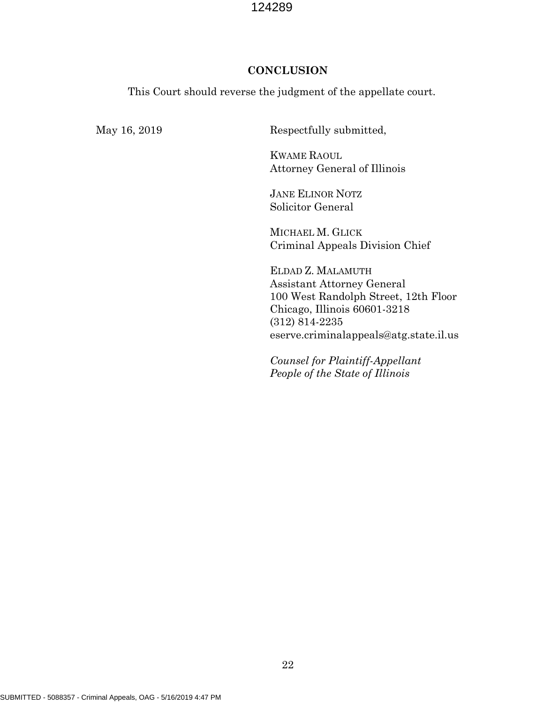#### **CONCLUSION**

This Court should reverse the judgment of the appellate court.

May 16, 2019 Respectfully submitted,

KWAME RAOUL Attorney General of Illinois

JANE ELINOR NOTZ Solicitor General

MICHAEL M. GLICK Criminal Appeals Division Chief

ELDAD Z. MALAMUTH Assistant Attorney General 100 West Randolph Street, 12th Floor Chicago, Illinois 60601-3218 (312) 814-2235 eserve.criminalappeals@atg.state.il.us

*Counsel for Plaintiff-Appellant People of the State of Illinois*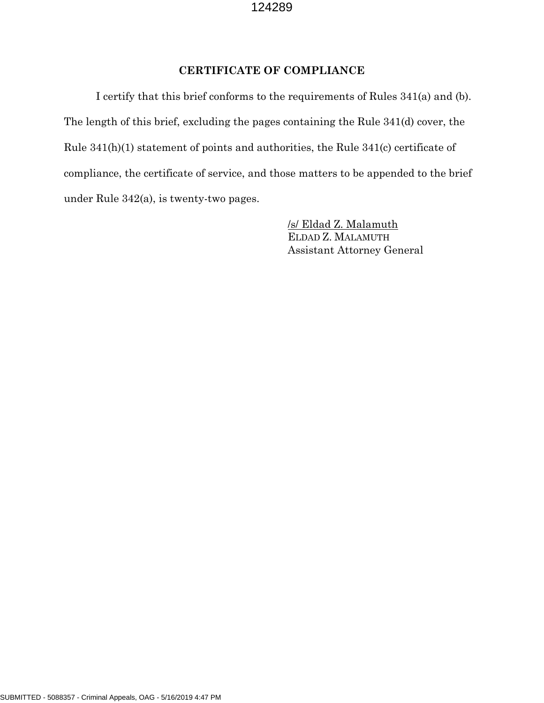# **CERTIFICATE OF COMPLIANCE**

I certify that this brief conforms to the requirements of Rules 341(a) and (b). The length of this brief, excluding the pages containing the Rule 341(d) cover, the Rule 341(h)(1) statement of points and authorities, the Rule 341(c) certificate of compliance, the certificate of service, and those matters to be appended to the brief under Rule 342(a), is twenty-two pages.

> /s/ Eldad Z. Malamuth ELDAD Z. MALAMUTH Assistant Attorney General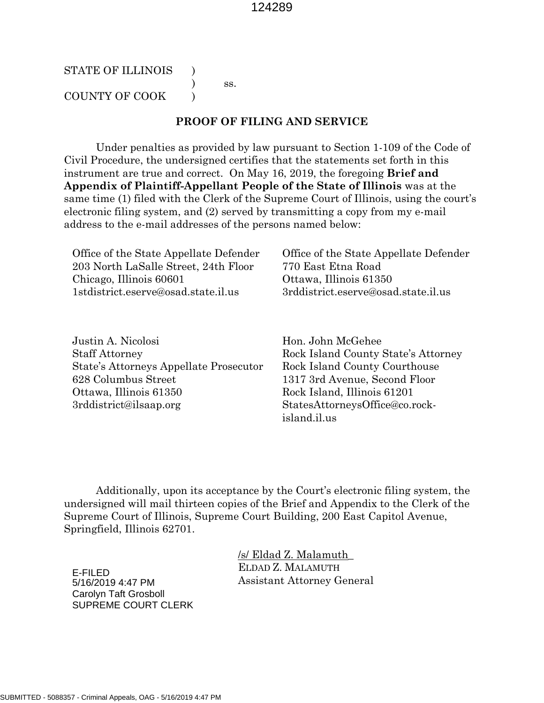#### STATE OF ILLINOIS  $\qquad$ ) ss. COUNTY OF COOK  $\qquad$  )

#### **PROOF OF FILING AND SERVICE**

Under penalties as provided by law pursuant to Section 1-109 of the Code of Civil Procedure, the undersigned certifies that the statements set forth in this instrument are true and correct. On May 16, 2019, the foregoing **Brief and Appendix of Plaintiff-Appellant People of the State of Illinois** was at the same time (1) filed with the Clerk of the Supreme Court of Illinois, using the court's electronic filing system, and (2) served by transmitting a copy from my e-mail address to the e-mail addresses of the persons named below:

| Office of the State Appellate Defender | Office of the State Appellate Defender |
|----------------------------------------|----------------------------------------|
| 203 North LaSalle Street, 24th Floor   | 770 East Etna Road                     |
| Chicago, Illinois 60601                | Ottawa, Illinois 61350                 |
| 1stdistrict.eserve@osad.state.il.us    | 3rddistrict.eserve@osad.state.il.us    |
|                                        |                                        |

Justin A. Nicolosi Staff Attorney State's Attorneys Appellate Prosecutor 628 Columbus Street Ottawa, Illinois 61350 3rddistrict@ilsaap.org

Hon. John McGehee Rock Island County State's Attorney Rock Island County Courthouse 1317 3rd Avenue, Second Floor Rock Island, Illinois 61201 StatesAttorneysOffice@co.rockisland.il.us

Additionally, upon its acceptance by the Court's electronic filing system, the undersigned will mail thirteen copies of the Brief and Appendix to the Clerk of the Supreme Court of Illinois, Supreme Court Building, 200 East Capitol Avenue, Springfield, Illinois 62701.

> /s/ Eldad Z. Malamuth\_ ELDAD Z. MALAMUTH Assistant Attorney General

E-FILED 5/16/2019 4:47 PM Carolyn Taft Grosboll SUPREME COURT CLERK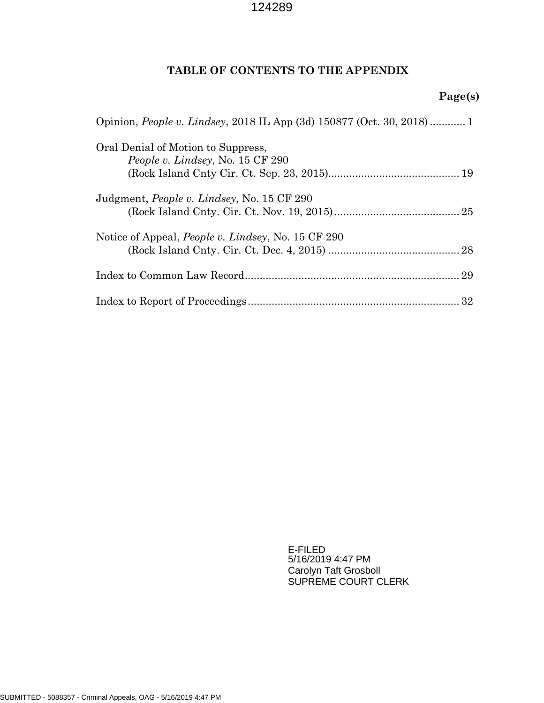# **TABLE OF CONTENTS TO THE APPENDIX**

# **Page(s)**

| Opinion, People v. Lindsey, 2018 IL App (3d) 150877 (Oct. 30, 2018) 1 |
|-----------------------------------------------------------------------|
| Oral Denial of Motion to Suppress,                                    |
| People v. Lindsey, No. 15 CF 290                                      |
|                                                                       |
| Judgment, <i>People v. Lindsey</i> , No. 15 CF 290                    |
|                                                                       |
| Notice of Appeal, <i>People v. Lindsey</i> , No. 15 CF 290            |
|                                                                       |
|                                                                       |
|                                                                       |

E-FILED 5/16/2019 4:47 PM Carolyn Taft Grosboll SUPREME COURT CLERK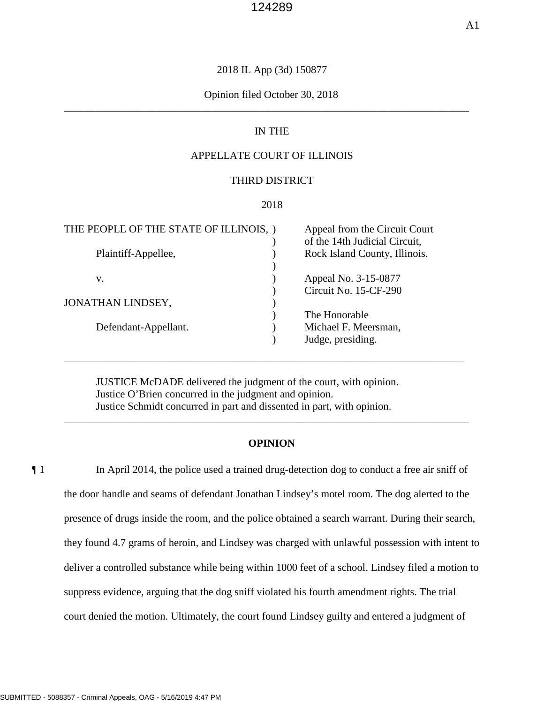#### 2018 IL App (3d) 150877

#### \_\_\_\_\_\_\_\_\_\_\_\_\_\_\_\_\_\_\_\_\_\_\_\_\_\_\_\_\_\_\_\_\_\_\_\_\_\_\_\_\_\_\_\_\_\_\_\_\_\_\_\_\_\_\_\_\_\_\_\_\_\_\_\_\_\_\_\_\_\_\_\_\_\_\_\_ Opinion filed October 30, 2018

#### IN THE

#### APPELLATE COURT OF ILLINOIS

#### THIRD DISTRICT

#### 2018

| THE PEOPLE OF THE STATE OF ILLINOIS, | Appeal from the Circuit Court |
|--------------------------------------|-------------------------------|
|                                      | of the 14th Judicial Circuit, |
| Plaintiff-Appellee,                  | Rock Island County, Illinois. |
|                                      |                               |
| V.                                   | Appeal No. 3-15-0877          |
|                                      | Circuit No. 15-CF-290         |
| <b>JONATHAN LINDSEY,</b>             |                               |
|                                      | The Honorable                 |
| Defendant-Appellant.                 | Michael F. Meersman,          |
|                                      | Judge, presiding.             |
|                                      |                               |

JUSTICE McDADE delivered the judgment of the court, with opinion. Justice O'Brien concurred in the judgment and opinion. Justice Schmidt concurred in part and dissented in part, with opinion.

#### **OPINION**

\_\_\_\_\_\_\_\_\_\_\_\_\_\_\_\_\_\_\_\_\_\_\_\_\_\_\_\_\_\_\_\_\_\_\_\_\_\_\_\_\_\_\_\_\_\_\_\_\_\_\_\_\_\_\_\_\_\_\_\_\_\_\_\_\_\_\_\_\_\_\_\_\_\_\_\_

\_\_\_\_\_\_\_\_\_\_\_\_\_\_\_\_\_\_\_\_\_\_\_\_\_\_\_\_\_\_\_\_\_\_\_\_\_\_\_\_\_\_\_\_\_\_\_\_\_\_\_\_\_\_\_\_\_\_\_\_\_\_\_\_\_\_\_\_\_\_\_\_\_\_\_

¶ 1 In April 2014, the police used a trained drug-detection dog to conduct a free air sniff of the door handle and seams of defendant Jonathan Lindsey's motel room. The dog alerted to the presence of drugs inside the room, and the police obtained a search warrant. During their search, they found 4.7 grams of heroin, and Lindsey was charged with unlawful possession with intent to deliver a controlled substance while being within 1000 feet of a school. Lindsey filed a motion to suppress evidence, arguing that the dog sniff violated his fourth amendment rights. The trial court denied the motion. Ultimately, the court found Lindsey guilty and entered a judgment of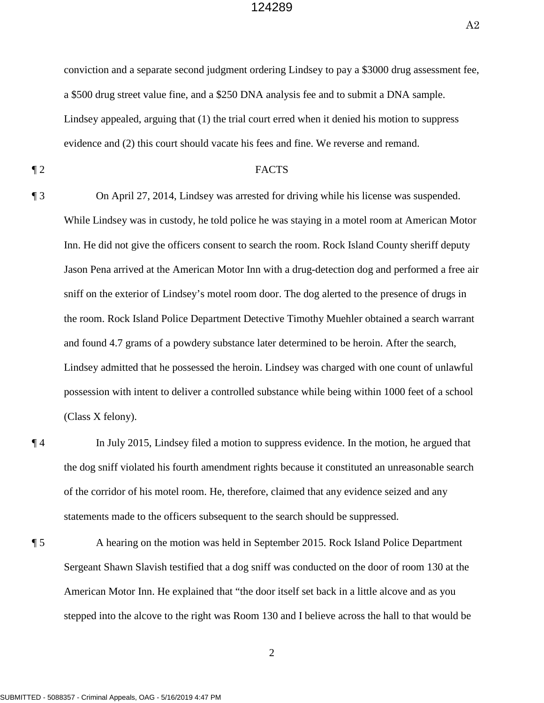A2

 Lindsey appealed, arguing that (1) the trial court erred when it denied his motion to suppress evidence and (2) this court should vacate his fees and fine. We reverse and remand. conviction and a separate second judgment ordering Lindsey to pay a \$3000 drug assessment fee, a \$500 drug street value fine, and a \$250 DNA analysis fee and to submit a DNA sample.

#### ¶ 2 FACTS

 Inn. He did not give the officers consent to search the room. Rock Island County sheriff deputy Jason Pena arrived at the American Motor Inn with a drug-detection dog and performed a free air possession with intent to deliver a controlled substance while being within 1000 feet of a school ¶ 3 On April 27, 2014, Lindsey was arrested for driving while his license was suspended. While Lindsey was in custody, he told police he was staying in a motel room at American Motor sniff on the exterior of Lindsey's motel room door. The dog alerted to the presence of drugs in the room. Rock Island Police Department Detective Timothy Muehler obtained a search warrant and found 4.7 grams of a powdery substance later determined to be heroin. After the search, Lindsey admitted that he possessed the heroin. Lindsey was charged with one count of unlawful (Class X felony).

¶ 4 In July 2015, Lindsey filed a motion to suppress evidence. In the motion, he argued that the dog sniff violated his fourth amendment rights because it constituted an unreasonable search of the corridor of his motel room. He, therefore, claimed that any evidence seized and any statements made to the officers subsequent to the search should be suppressed.

 American Motor Inn. He explained that "the door itself set back in a little alcove and as you ¶ 5 A hearing on the motion was held in September 2015. Rock Island Police Department Sergeant Shawn Slavish testified that a dog sniff was conducted on the door of room 130 at the stepped into the alcove to the right was Room 130 and I believe across the hall to that would be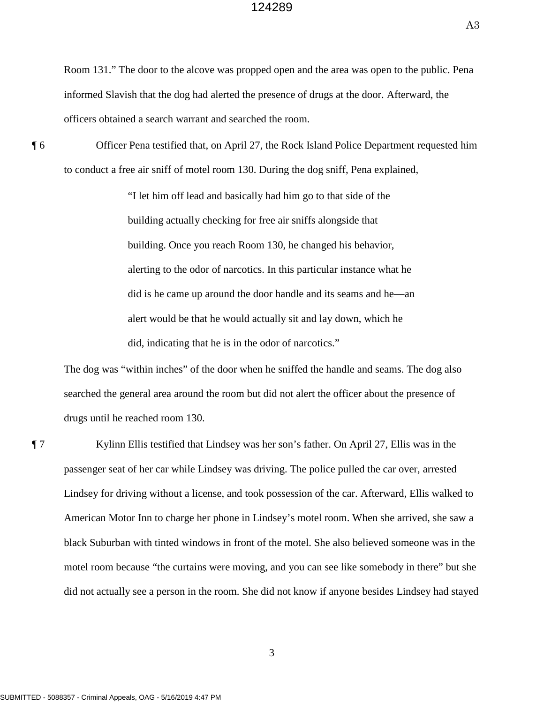Room 131." The door to the alcove was propped open and the area was open to the public. Pena informed Slavish that the dog had alerted the presence of drugs at the door. Afterward, the officers obtained a search warrant and searched the room.

 to conduct a free air sniff of motel room 130. During the dog sniff, Pena explained, ¶ 6 Officer Pena testified that, on April 27, the Rock Island Police Department requested him

> did, indicating that he is in the odor of narcotics." "I let him off lead and basically had him go to that side of the building actually checking for free air sniffs alongside that building. Once you reach Room 130, he changed his behavior, alerting to the odor of narcotics. In this particular instance what he did is he came up around the door handle and its seams and he—an alert would be that he would actually sit and lay down, which he

 searched the general area around the room but did not alert the officer about the presence of The dog was "within inches" of the door when he sniffed the handle and seams. The dog also drugs until he reached room 130.

 passenger seat of her car while Lindsey was driving. The police pulled the car over, arrested American Motor Inn to charge her phone in Lindsey's motel room. When she arrived, she saw a motel room because "the curtains were moving, and you can see like somebody in there" but she ¶ 7 Kylinn Ellis testified that Lindsey was her son's father. On April 27, Ellis was in the Lindsey for driving without a license, and took possession of the car. Afterward, Ellis walked to black Suburban with tinted windows in front of the motel. She also believed someone was in the did not actually see a person in the room. She did not know if anyone besides Lindsey had stayed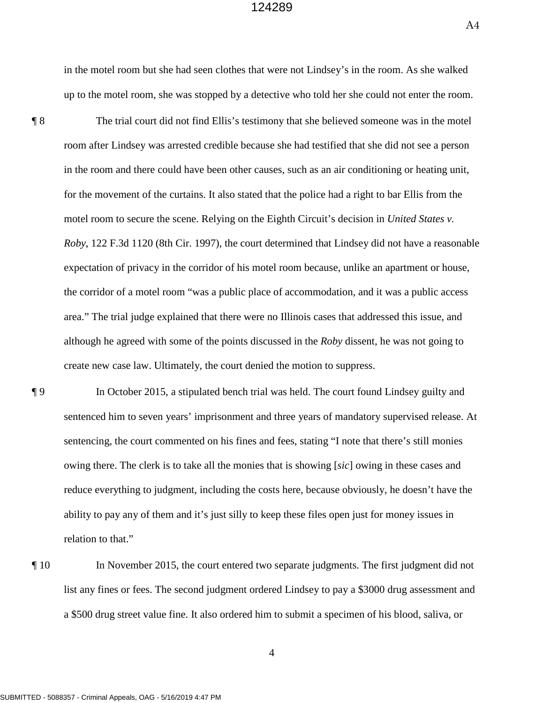in the motel room but she had seen clothes that were not Lindsey's in the room. As she walked up to the motel room, she was stopped by a detective who told her she could not enter the room.

 room after Lindsey was arrested credible because she had testified that she did not see a person the corridor of a motel room "was a public place of accommodation, and it was a public access ¶ 8 The trial court did not find Ellis's testimony that she believed someone was in the motel in the room and there could have been other causes, such as an air conditioning or heating unit, for the movement of the curtains. It also stated that the police had a right to bar Ellis from the motel room to secure the scene. Relying on the Eighth Circuit's decision in *United States v. Roby*, 122 F.3d 1120 (8th Cir. 1997), the court determined that Lindsey did not have a reasonable expectation of privacy in the corridor of his motel room because, unlike an apartment or house, area." The trial judge explained that there were no Illinois cases that addressed this issue, and although he agreed with some of the points discussed in the *Roby* dissent, he was not going to create new case law. Ultimately, the court denied the motion to suppress.

- owing there. The clerk is to take all the monies that is showing [*sic*] owing in these cases and ¶ 9 In October 2015, a stipulated bench trial was held. The court found Lindsey guilty and sentenced him to seven years' imprisonment and three years of mandatory supervised release. At sentencing, the court commented on his fines and fees, stating "I note that there's still monies reduce everything to judgment, including the costs here, because obviously, he doesn't have the ability to pay any of them and it's just silly to keep these files open just for money issues in relation to that."
- ¶ 10 In November 2015, the court entered two separate judgments. The first judgment did not list any fines or fees. The second judgment ordered Lindsey to pay a \$3000 drug assessment and a \$500 drug street value fine. It also ordered him to submit a specimen of his blood, saliva, or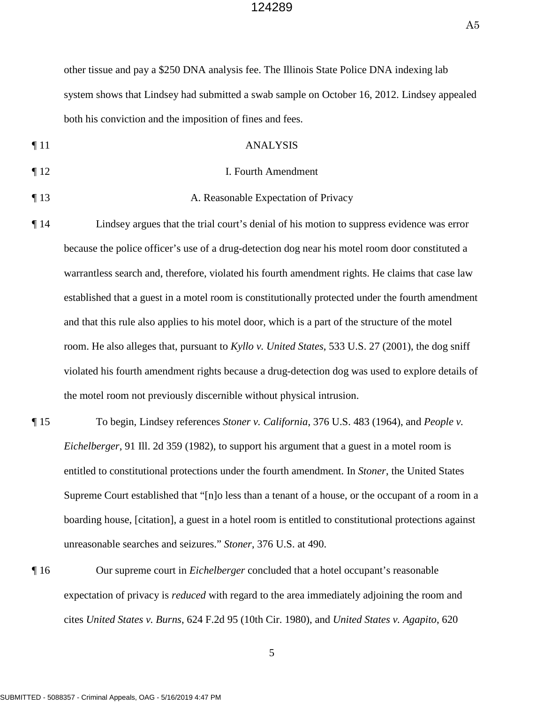A5

 system shows that Lindsey had submitted a swab sample on October 16, 2012. Lindsey appealed other tissue and pay a \$250 DNA analysis fee. The Illinois State Police DNA indexing lab both his conviction and the imposition of fines and fees.

- ¶ 11 ANALYSIS
- ¶ 12 I. Fourth Amendment
- ¶ 13 A. Reasonable Expectation of Privacy
- ¶ 14 Lindsey argues that the trial court's denial of his motion to suppress evidence was error because the police officer's use of a drug-detection dog near his motel room door constituted a warrantless search and, therefore, violated his fourth amendment rights. He claims that case law established that a guest in a motel room is constitutionally protected under the fourth amendment and that this rule also applies to his motel door, which is a part of the structure of the motel room. He also alleges that, pursuant to *Kyllo v. United States*, 533 U.S. 27 (2001), the dog sniff violated his fourth amendment rights because a drug-detection dog was used to explore details of the motel room not previously discernible without physical intrusion.
- *Eichelberger*, 91 Ill. 2d 359 (1982), to support his argument that a guest in a motel room is Supreme Court established that "[n]o less than a tenant of a house, or the occupant of a room in a ¶ 15 To begin, Lindsey references *Stoner v. California*, 376 U.S. 483 (1964), and *People v.*  entitled to constitutional protections under the fourth amendment. In *Stoner*, the United States boarding house, [citation], a guest in a hotel room is entitled to constitutional protections against unreasonable searches and seizures." *Stoner*, 376 U.S. at 490.
- ¶ 16 Our supreme court in *Eichelberger* concluded that a hotel occupant's reasonable expectation of privacy is *reduced* with regard to the area immediately adjoining the room and cites *United States v. Burns*, 624 F.2d 95 (10th Cir. 1980), and *United States v. Agapito*, 620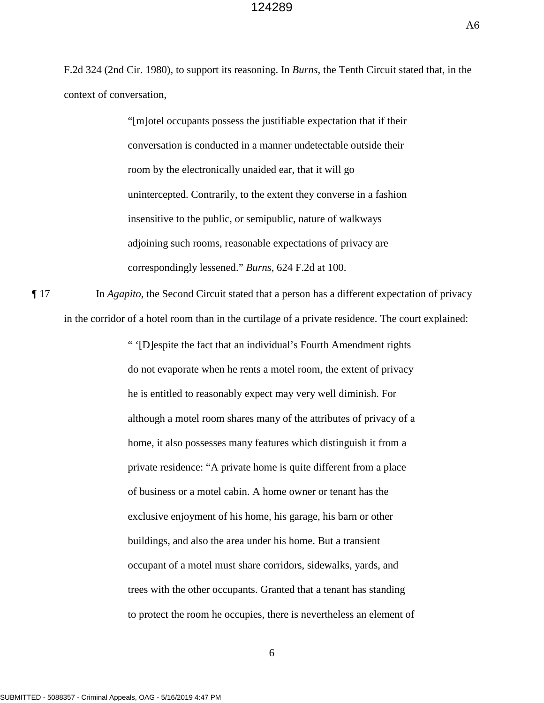A6

F.2d 324 (2nd Cir. 1980), to support its reasoning. In *Burns*, the Tenth Circuit stated that, in the context of conversation,

> insensitive to the public, or semipublic, nature of walkways adjoining such rooms, reasonable expectations of privacy are "[m]otel occupants possess the justifiable expectation that if their conversation is conducted in a manner undetectable outside their room by the electronically unaided ear, that it will go unintercepted. Contrarily, to the extent they converse in a fashion correspondingly lessened." *Burns*, 624 F.2d at 100.

 in the corridor of a hotel room than in the curtilage of a private residence. The court explained: ¶ 17 In *Agapito*, the Second Circuit stated that a person has a different expectation of privacy

> although a motel room shares many of the attributes of privacy of a buildings, and also the area under his home. But a transient " '[D]espite the fact that an individual's Fourth Amendment rights do not evaporate when he rents a motel room, the extent of privacy he is entitled to reasonably expect may very well diminish. For home, it also possesses many features which distinguish it from a private residence: "A private home is quite different from a place of business or a motel cabin. A home owner or tenant has the exclusive enjoyment of his home, his garage, his barn or other occupant of a motel must share corridors, sidewalks, yards, and trees with the other occupants. Granted that a tenant has standing to protect the room he occupies, there is nevertheless an element of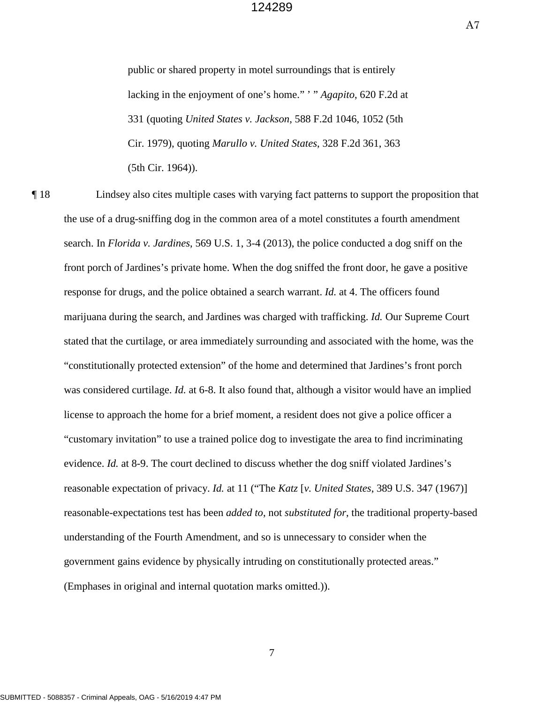A7

public or shared property in motel surroundings that is entirely lacking in the enjoyment of one's home." ' " *Agapito*, 620 F.2d at 331 (quoting *United States v. Jackson*, 588 F.2d 1046, 1052 (5th Cir. 1979), quoting *Marullo v. United States*, 328 F.2d 361, 363 (5th Cir. 1964)).

 ¶ 18 Lindsey also cites multiple cases with varying fact patterns to support the proposition that front porch of Jardines's private home. When the dog sniffed the front door, he gave a positive response for drugs, and the police obtained a search warrant. *Id.* at 4. The officers found license to approach the home for a brief moment, a resident does not give a police officer a evidence. *Id.* at 8-9. The court declined to discuss whether the dog sniff violated Jardines's the use of a drug-sniffing dog in the common area of a motel constitutes a fourth amendment search. In *Florida v. Jardines*, 569 U.S. 1, 3-4 (2013), the police conducted a dog sniff on the marijuana during the search, and Jardines was charged with trafficking. *Id.* Our Supreme Court stated that the curtilage, or area immediately surrounding and associated with the home, was the "constitutionally protected extension" of the home and determined that Jardines's front porch was considered curtilage. *Id.* at 6-8. It also found that, although a visitor would have an implied "customary invitation" to use a trained police dog to investigate the area to find incriminating reasonable expectation of privacy. *Id.* at 11 ("The *Katz* [*v. United States*, 389 U.S. 347 (1967)] reasonable-expectations test has been *added to*, not *substituted for*, the traditional property-based understanding of the Fourth Amendment, and so is unnecessary to consider when the government gains evidence by physically intruding on constitutionally protected areas." (Emphases in original and internal quotation marks omitted.)).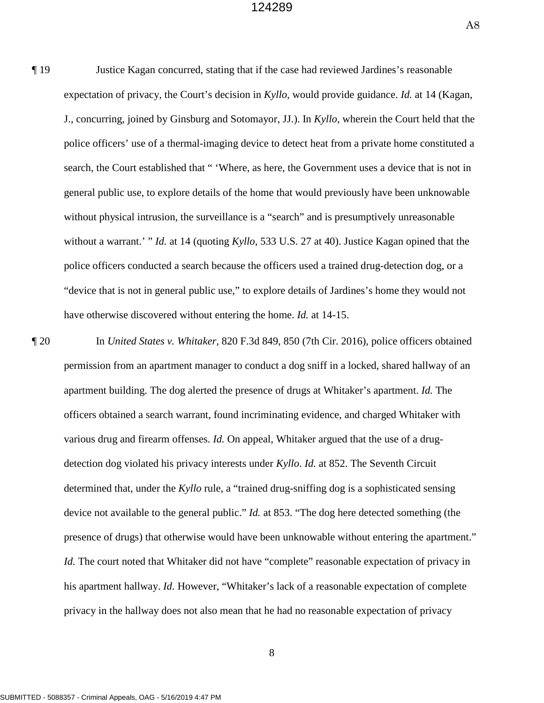A8

 J., concurring, joined by Ginsburg and Sotomayor, JJ.). In *Kyllo*, wherein the Court held that the without a warrant.' " *Id.* at 14 (quoting *Kyllo*, 533 U.S. 27 at 40). Justice Kagan opined that the "device that is not in general public use," to explore details of Jardines's home they would not ¶ 19 Justice Kagan concurred, stating that if the case had reviewed Jardines's reasonable expectation of privacy, the Court's decision in *Kyllo*, would provide guidance. *Id.* at 14 (Kagan, police officers' use of a thermal-imaging device to detect heat from a private home constituted a search, the Court established that " 'Where, as here, the Government uses a device that is not in general public use, to explore details of the home that would previously have been unknowable without physical intrusion, the surveillance is a "search" and is presumptively unreasonable police officers conducted a search because the officers used a trained drug-detection dog, or a have otherwise discovered without entering the home. *Id.* at 14-15.

 officers obtained a search warrant, found incriminating evidence, and charged Whitaker with device not available to the general public." *Id.* at 853. "The dog here detected something (the ¶ 20 In *United States v. Whitaker*, 820 F.3d 849, 850 (7th Cir. 2016), police officers obtained permission from an apartment manager to conduct a dog sniff in a locked, shared hallway of an apartment building. The dog alerted the presence of drugs at Whitaker's apartment. *Id.* The various drug and firearm offenses. *Id.* On appeal, Whitaker argued that the use of a drugdetection dog violated his privacy interests under *Kyllo*. *Id.* at 852. The Seventh Circuit determined that, under the *Kyllo* rule, a "trained drug-sniffing dog is a sophisticated sensing presence of drugs) that otherwise would have been unknowable without entering the apartment." *Id.* The court noted that Whitaker did not have "complete" reasonable expectation of privacy in his apartment hallway. *Id.* However, "Whitaker's lack of a reasonable expectation of complete privacy in the hallway does not also mean that he had no reasonable expectation of privacy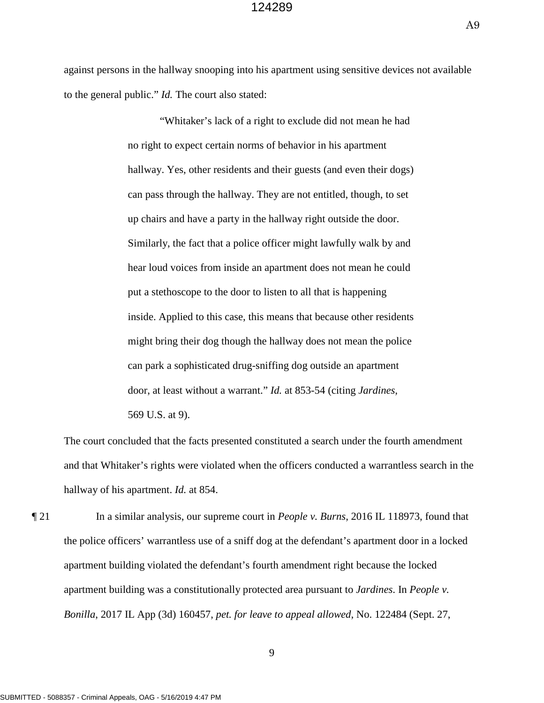A9

against persons in the hallway snooping into his apartment using sensitive devices not available to the general public." *Id.* The court also stated:

> put a stethoscope to the door to listen to all that is happening "Whitaker's lack of a right to exclude did not mean he had no right to expect certain norms of behavior in his apartment hallway. Yes, other residents and their guests (and even their dogs) can pass through the hallway. They are not entitled, though, to set up chairs and have a party in the hallway right outside the door. Similarly, the fact that a police officer might lawfully walk by and hear loud voices from inside an apartment does not mean he could inside. Applied to this case, this means that because other residents might bring their dog though the hallway does not mean the police can park a sophisticated drug-sniffing dog outside an apartment door, at least without a warrant." *Id.* at 853-54 (citing *Jardines*, 569 U.S. at 9).

 and that Whitaker's rights were violated when the officers conducted a warrantless search in the The court concluded that the facts presented constituted a search under the fourth amendment hallway of his apartment. *Id.* at 854.

 the police officers' warrantless use of a sniff dog at the defendant's apartment door in a locked ¶ 21 In a similar analysis, our supreme court in *People v. Burns*, 2016 IL 118973, found that apartment building violated the defendant's fourth amendment right because the locked apartment building was a constitutionally protected area pursuant to *Jardines*. In *People v. Bonilla*, 2017 IL App (3d) 160457, *pet. for leave to appeal allowed*, No. 122484 (Sept. 27,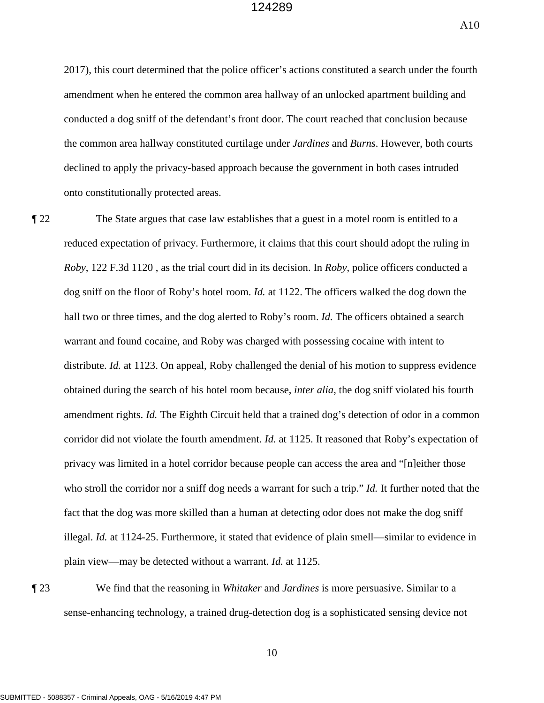A10

 conducted a dog sniff of the defendant's front door. The court reached that conclusion because 2017), this court determined that the police officer's actions constituted a search under the fourth amendment when he entered the common area hallway of an unlocked apartment building and the common area hallway constituted curtilage under *Jardines* and *Burns*. However, both courts declined to apply the privacy-based approach because the government in both cases intruded onto constitutionally protected areas.

 *Roby*, 122 F.3d 1120 , as the trial court did in its decision. In *Roby*, police officers conducted a  obtained during the search of his hotel room because, *inter alia*, the dog sniff violated his fourth ¶ 22 The State argues that case law establishes that a guest in a motel room is entitled to a reduced expectation of privacy. Furthermore, it claims that this court should adopt the ruling in dog sniff on the floor of Roby's hotel room. *Id.* at 1122. The officers walked the dog down the hall two or three times, and the dog alerted to Roby's room. *Id.* The officers obtained a search warrant and found cocaine, and Roby was charged with possessing cocaine with intent to distribute. *Id.* at 1123. On appeal, Roby challenged the denial of his motion to suppress evidence amendment rights. *Id.* The Eighth Circuit held that a trained dog's detection of odor in a common corridor did not violate the fourth amendment. *Id.* at 1125. It reasoned that Roby's expectation of privacy was limited in a hotel corridor because people can access the area and "[n]either those who stroll the corridor nor a sniff dog needs a warrant for such a trip." *Id.* It further noted that the fact that the dog was more skilled than a human at detecting odor does not make the dog sniff illegal. *Id.* at 1124-25. Furthermore, it stated that evidence of plain smell—similar to evidence in plain view—may be detected without a warrant. *Id.* at 1125.

¶ 23 We find that the reasoning in *Whitaker* and *Jardines* is more persuasive. Similar to a sense-enhancing technology, a trained drug-detection dog is a sophisticated sensing device not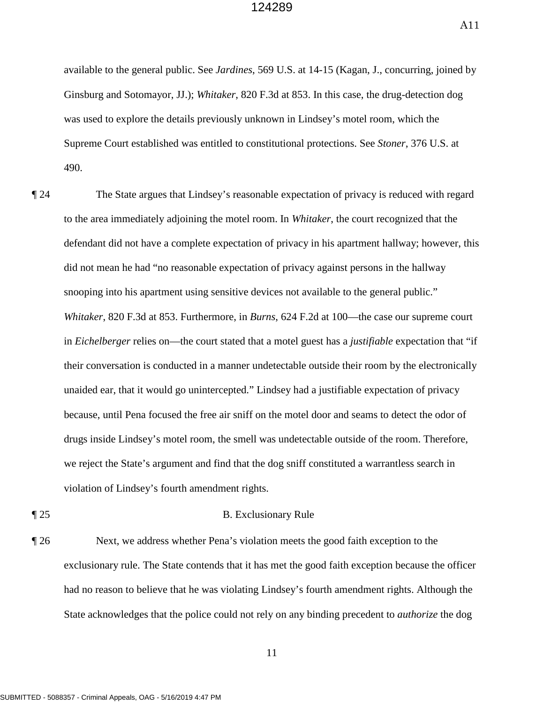A11

available to the general public. See *Jardines*, 569 U.S. at 14-15 (Kagan, J., concurring, joined by Ginsburg and Sotomayor, JJ.); *Whitaker*, 820 F.3d at 853. In this case, the drug-detection dog was used to explore the details previously unknown in Lindsey's motel room, which the Supreme Court established was entitled to constitutional protections. See *Stoner*, 376 U.S. at 490.

 *Whitaker*, 820 F.3d at 853. Furthermore, in *Burns*, 624 F.2d at 100—the case our supreme court violation of Lindsey's fourth amendment rights. ¶ 24 The State argues that Lindsey's reasonable expectation of privacy is reduced with regard to the area immediately adjoining the motel room. In *Whitaker*, the court recognized that the defendant did not have a complete expectation of privacy in his apartment hallway; however, this did not mean he had "no reasonable expectation of privacy against persons in the hallway snooping into his apartment using sensitive devices not available to the general public." in *Eichelberger* relies on—the court stated that a motel guest has a *justifiable* expectation that "if their conversation is conducted in a manner undetectable outside their room by the electronically unaided ear, that it would go unintercepted." Lindsey had a justifiable expectation of privacy because, until Pena focused the free air sniff on the motel door and seams to detect the odor of drugs inside Lindsey's motel room, the smell was undetectable outside of the room. Therefore, we reject the State's argument and find that the dog sniff constituted a warrantless search in

#### ¶ 25 B. Exclusionary Rule

¶ 26 Next, we address whether Pena's violation meets the good faith exception to the exclusionary rule. The State contends that it has met the good faith exception because the officer had no reason to believe that he was violating Lindsey's fourth amendment rights. Although the State acknowledges that the police could not rely on any binding precedent to *authorize* the dog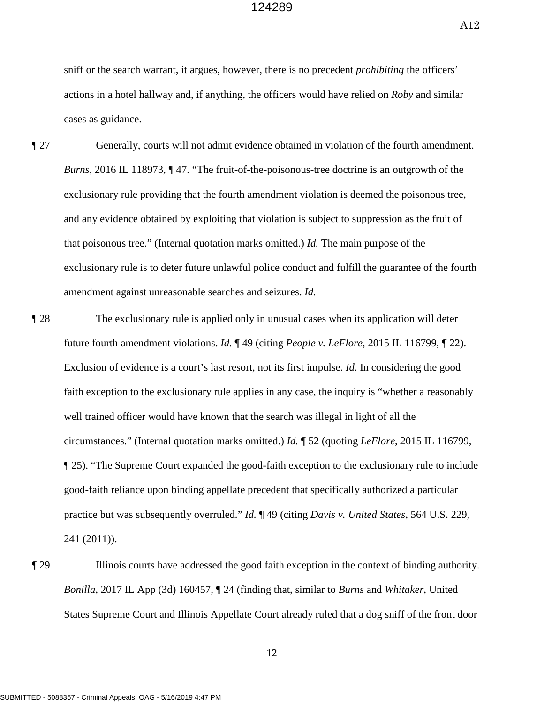A12

 sniff or the search warrant, it argues, however, there is no precedent *prohibiting* the officers' cases as guidance. actions in a hotel hallway and, if anything, the officers would have relied on *Roby* and similar

- amendment against unreasonable searches and seizures. *Id.* ¶ 27 Generally, courts will not admit evidence obtained in violation of the fourth amendment. *Burns*, 2016 IL 118973, ¶ 47. "The fruit-of-the-poisonous-tree doctrine is an outgrowth of the exclusionary rule providing that the fourth amendment violation is deemed the poisonous tree, and any evidence obtained by exploiting that violation is subject to suppression as the fruit of that poisonous tree." (Internal quotation marks omitted.) *Id.* The main purpose of the exclusionary rule is to deter future unlawful police conduct and fulfill the guarantee of the fourth
- ¶ 28 The exclusionary rule is applied only in unusual cases when its application will deter Exclusion of evidence is a court's last resort, not its first impulse. *Id.* In considering the good faith exception to the exclusionary rule applies in any case, the inquiry is "whether a reasonably practice but was subsequently overruled." *Id.* ¶ 49 (citing *Davis v. United States*, 564 U.S. 229, future fourth amendment violations. *Id.* ¶ 49 (citing *People v. LeFlore*, 2015 IL 116799, ¶ 22). well trained officer would have known that the search was illegal in light of all the circumstances." (Internal quotation marks omitted.) *Id.* ¶ 52 (quoting *LeFlore*, 2015 IL 116799, ¶ 25). "The Supreme Court expanded the good-faith exception to the exclusionary rule to include good-faith reliance upon binding appellate precedent that specifically authorized a particular 241 (2011)).
- ¶ 29 Illinois courts have addressed the good faith exception in the context of binding authority. *Bonilla*, 2017 IL App (3d) 160457, ¶ 24 (finding that, similar to *Burns* and *Whitaker*, United States Supreme Court and Illinois Appellate Court already ruled that a dog sniff of the front door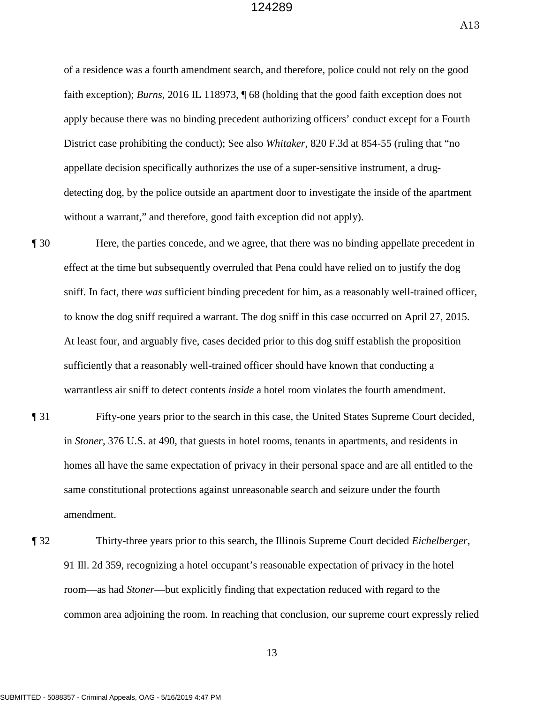A13

 District case prohibiting the conduct); See also *Whitaker*, 820 F.3d at 854-55 (ruling that "no of a residence was a fourth amendment search, and therefore, police could not rely on the good faith exception); *Burns*, 2016 IL 118973, ¶ 68 (holding that the good faith exception does not apply because there was no binding precedent authorizing officers' conduct except for a Fourth appellate decision specifically authorizes the use of a super-sensitive instrument, a drugdetecting dog, by the police outside an apartment door to investigate the inside of the apartment without a warrant," and therefore, good faith exception did not apply).

- ¶ 30 Here, the parties concede, and we agree, that there was no binding appellate precedent in effect at the time but subsequently overruled that Pena could have relied on to justify the dog sniff. In fact, there *was* sufficient binding precedent for him, as a reasonably well-trained officer, to know the dog sniff required a warrant. The dog sniff in this case occurred on April 27, 2015. At least four, and arguably five, cases decided prior to this dog sniff establish the proposition sufficiently that a reasonably well-trained officer should have known that conducting a warrantless air sniff to detect contents *inside* a hotel room violates the fourth amendment.
- amendment. ¶ 31 Fifty-one years prior to the search in this case, the United States Supreme Court decided, in *Stoner*, 376 U.S. at 490, that guests in hotel rooms, tenants in apartments, and residents in homes all have the same expectation of privacy in their personal space and are all entitled to the same constitutional protections against unreasonable search and seizure under the fourth
- **1** 32 Thirty-three years prior to this search, the Illinois Supreme Court decided *Eichelberger*, 91 Ill. 2d 359, recognizing a hotel occupant's reasonable expectation of privacy in the hotel room—as had *Stoner*—but explicitly finding that expectation reduced with regard to the common area adjoining the room. In reaching that conclusion, our supreme court expressly relied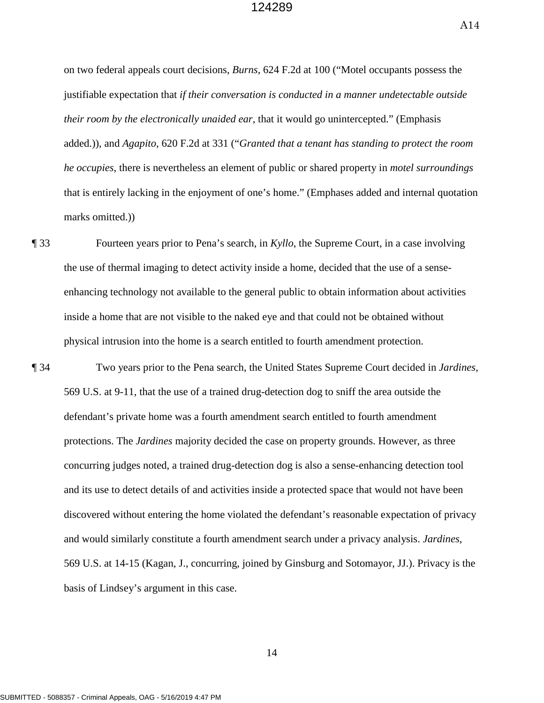A14

marks omitted.) on two federal appeals court decisions, *Burns*, 624 F.2d at 100 ("Motel occupants possess the justifiable expectation that *if their conversation is conducted in a manner undetectable outside their room by the electronically unaided ear*, that it would go unintercepted." (Emphasis added.)), and *Agapito*, 620 F.2d at 331 ("*Granted that a tenant has standing to protect the room he occupies*, there is nevertheless an element of public or shared property in *motel surroundings*  that is entirely lacking in the enjoyment of one's home." (Emphases added and internal quotation

 enhancing technology not available to the general public to obtain information about activities **The 33** Fourteen years prior to Pena's search, in *Kyllo*, the Supreme Court, in a case involving the use of thermal imaging to detect activity inside a home, decided that the use of a senseinside a home that are not visible to the naked eye and that could not be obtained without physical intrusion into the home is a search entitled to fourth amendment protection.

 and would similarly constitute a fourth amendment search under a privacy analysis. *Jardines*, 569 U.S. at 14-15 (Kagan, J., concurring, joined by Ginsburg and Sotomayor, JJ.). Privacy is the ¶ 34 Two years prior to the Pena search, the United States Supreme Court decided in *Jardines*, 569 U.S. at 9-11, that the use of a trained drug-detection dog to sniff the area outside the defendant's private home was a fourth amendment search entitled to fourth amendment protections. The *Jardines* majority decided the case on property grounds. However, as three concurring judges noted, a trained drug-detection dog is also a sense-enhancing detection tool and its use to detect details of and activities inside a protected space that would not have been discovered without entering the home violated the defendant's reasonable expectation of privacy basis of Lindsey's argument in this case.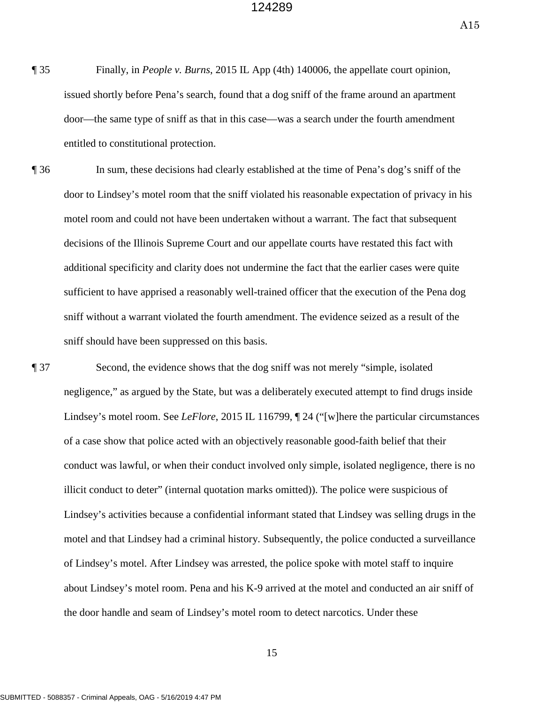A15

- ¶ 35 Finally, in *People v. Burns*, 2015 IL App (4th) 140006, the appellate court opinion, issued shortly before Pena's search, found that a dog sniff of the frame around an apartment door—the same type of sniff as that in this case—was a search under the fourth amendment entitled to constitutional protection.
- ¶ 36 In sum, these decisions had clearly established at the time of Pena's dog's sniff of the door to Lindsey's motel room that the sniff violated his reasonable expectation of privacy in his motel room and could not have been undertaken without a warrant. The fact that subsequent decisions of the Illinois Supreme Court and our appellate courts have restated this fact with additional specificity and clarity does not undermine the fact that the earlier cases were quite sufficient to have apprised a reasonably well-trained officer that the execution of the Pena dog sniff without a warrant violated the fourth amendment. The evidence seized as a result of the sniff should have been suppressed on this basis.

 ¶ 37 Second, the evidence shows that the dog sniff was not merely "simple, isolated the door handle and seam of Lindsey's motel room to detect narcotics. Under these negligence," as argued by the State, but was a deliberately executed attempt to find drugs inside Lindsey's motel room. See *LeFlore*, 2015 IL 116799, ¶ 24 ("[w]here the particular circumstances of a case show that police acted with an objectively reasonable good-faith belief that their conduct was lawful, or when their conduct involved only simple, isolated negligence, there is no illicit conduct to deter" (internal quotation marks omitted)). The police were suspicious of Lindsey's activities because a confidential informant stated that Lindsey was selling drugs in the motel and that Lindsey had a criminal history. Subsequently, the police conducted a surveillance of Lindsey's motel. After Lindsey was arrested, the police spoke with motel staff to inquire about Lindsey's motel room. Pena and his K-9 arrived at the motel and conducted an air sniff of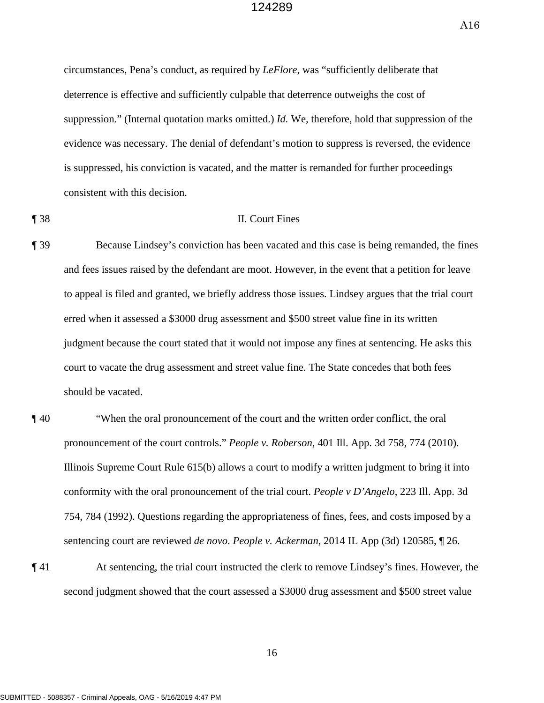A16

 suppression." (Internal quotation marks omitted.) *Id.* We, therefore, hold that suppression of the evidence was necessary. The denial of defendant's motion to suppress is reversed, the evidence circumstances, Pena's conduct, as required by *LeFlore*, was "sufficiently deliberate that deterrence is effective and sufficiently culpable that deterrence outweighs the cost of is suppressed, his conviction is vacated, and the matter is remanded for further proceedings consistent with this decision.

#### ¶ 38 II. Court Fines

- and fees issues raised by the defendant are moot. However, in the event that a petition for leave erred when it assessed a \$3000 drug assessment and \$500 street value fine in its written ¶ 39 Because Lindsey's conviction has been vacated and this case is being remanded, the fines to appeal is filed and granted, we briefly address those issues. Lindsey argues that the trial court judgment because the court stated that it would not impose any fines at sentencing. He asks this court to vacate the drug assessment and street value fine. The State concedes that both fees should be vacated.
- ¶ 40 "When the oral pronouncement of the court and the written order conflict, the oral pronouncement of the court controls." *People v. Roberson*, 401 Ill. App. 3d 758, 774 (2010). Illinois Supreme Court Rule 615(b) allows a court to modify a written judgment to bring it into conformity with the oral pronouncement of the trial court. *People v D'Angelo*, 223 Ill. App. 3d 754, 784 (1992). Questions regarding the appropriateness of fines, fees, and costs imposed by a sentencing court are reviewed *de novo*. *People v. Ackerman*, 2014 IL App (3d) 120585, ¶ 26.
- ¶ 41 At sentencing, the trial court instructed the clerk to remove Lindsey's fines. However, the second judgment showed that the court assessed a \$3000 drug assessment and \$500 street value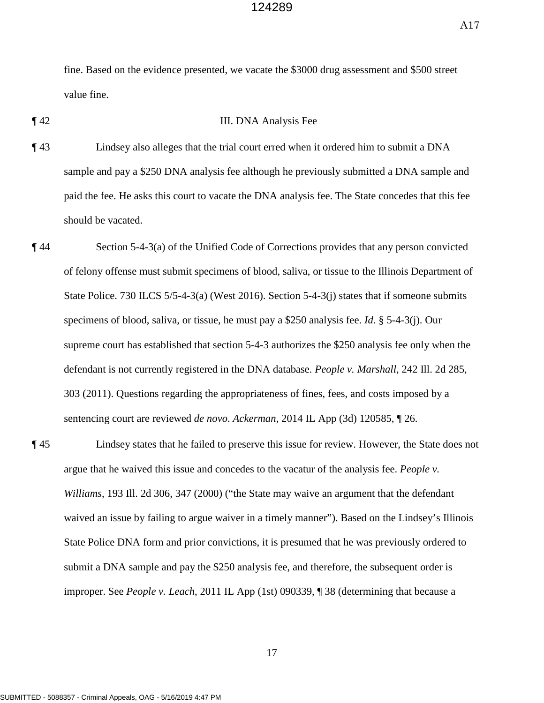A17

fine. Based on the evidence presented, we vacate the \$3000 drug assessment and \$500 street value fine.

#### ¶ 42 III. DNA Analysis Fee

- ¶ 43 Lindsey also alleges that the trial court erred when it ordered him to submit a DNA sample and pay a \$250 DNA analysis fee although he previously submitted a DNA sample and paid the fee. He asks this court to vacate the DNA analysis fee. The State concedes that this fee should be vacated.
- ¶ 44 Section 5-4-3(a) of the Unified Code of Corrections provides that any person convicted of felony offense must submit specimens of blood, saliva, or tissue to the Illinois Department of State Police. 730 ILCS 5/5-4-3(a) (West 2016). Section 5-4-3(j) states that if someone submits specimens of blood, saliva, or tissue, he must pay a \$250 analysis fee. *Id*. § 5-4-3(j). Our supreme court has established that section 5-4-3 authorizes the \$250 analysis fee only when the defendant is not currently registered in the DNA database. *People v. Marshall*, 242 Ill. 2d 285, 303 (2011). Questions regarding the appropriateness of fines, fees, and costs imposed by a sentencing court are reviewed *de novo*. *Ackerman*, 2014 IL App (3d) 120585, ¶ 26.
- *Williams*, 193 Ill. 2d 306, 347 (2000) ("the State may waive an argument that the defendant waived an issue by failing to argue waiver in a timely manner"). Based on the Lindsey's Illinois ¶ 45 Lindsey states that he failed to preserve this issue for review. However, the State does not argue that he waived this issue and concedes to the vacatur of the analysis fee. *People v.*  State Police DNA form and prior convictions, it is presumed that he was previously ordered to submit a DNA sample and pay the \$250 analysis fee, and therefore, the subsequent order is improper. See *People v. Leach*, 2011 IL App (1st) 090339, ¶ 38 (determining that because a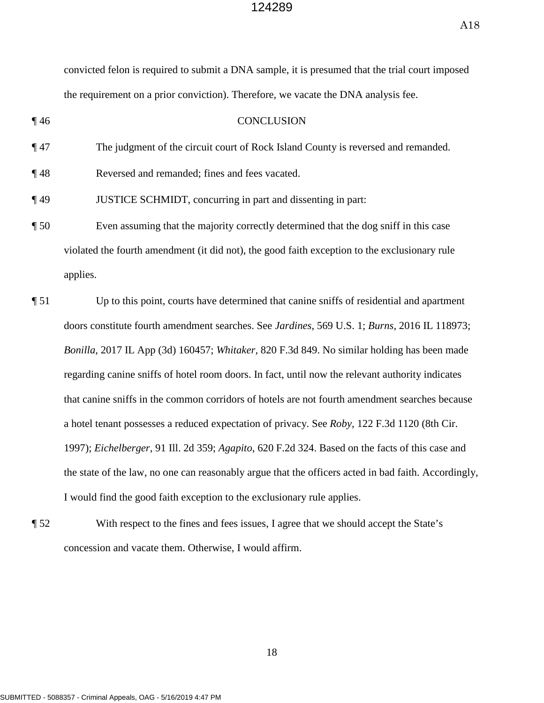A18

|         | convicted felon is required to submit a DNA sample, it is presumed that the trial court imposed      |
|---------|------------------------------------------------------------------------------------------------------|
|         | the requirement on a prior conviction). Therefore, we vacate the DNA analysis fee.                   |
| $\P$ 46 | <b>CONCLUSION</b>                                                                                    |
| $\P$ 47 | The judgment of the circuit court of Rock Island County is reversed and remanded.                    |
| $\P$ 48 | Reversed and remanded; fines and fees vacated.                                                       |
| $\P$ 49 | JUSTICE SCHMIDT, concurring in part and dissenting in part:                                          |
| $\P 50$ | Even assuming that the majority correctly determined that the dog sniff in this case                 |
|         | violated the fourth amendment (it did not), the good faith exception to the exclusionary rule        |
|         | applies.                                                                                             |
| $\P 51$ | Up to this point, courts have determined that canine sniffs of residential and apartment             |
|         | doors constitute fourth amendment searches. See Jardines, 569 U.S. 1; Burns, 2016 IL 118973;         |
|         | Bonilla, 2017 IL App (3d) 160457; Whitaker, 820 F.3d 849. No similar holding has been made           |
|         | regarding canine sniffs of hotel room doors. In fact, until now the relevant authority indicates     |
|         | that canine sniffs in the common corridors of hotels are not fourth amendment searches because       |
|         | a hotel tenant possesses a reduced expectation of privacy. See Roby, 122 F.3d 1120 (8th Cir.         |
|         | 1997); Eichelberger, 91 Ill. 2d 359; Agapito, 620 F.2d 324. Based on the facts of this case and      |
|         | the state of the law, no one can reasonably argue that the officers acted in bad faith. Accordingly, |
|         | I would find the good faith exception to the exclusionary rule applies.                              |

¶ 52 With respect to the fines and fees issues, I agree that we should accept the State's concession and vacate them. Otherwise, I would affirm.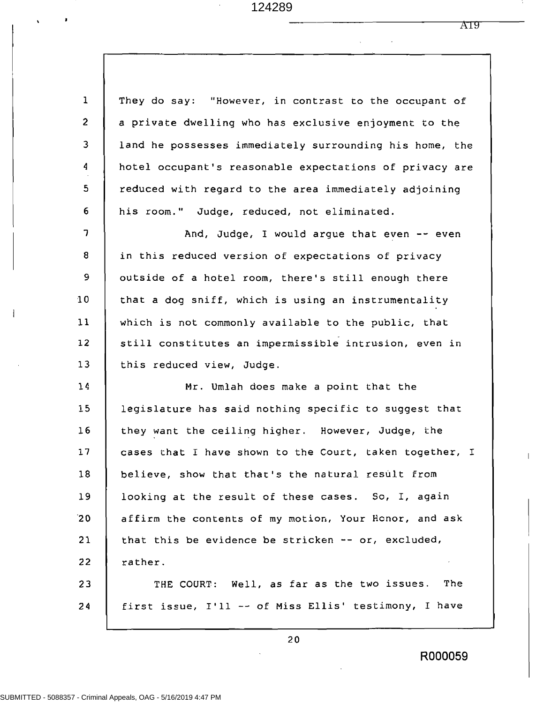$\hat{\mathcal{A}}$ 

ï

 $\,$   $\,$ 

A19

 $\ddot{\phantom{a}}$ 

 $\hat{\mathbf{v}}$ 

| $\mathbf{1}$             | They do say: "However, in contrast to the occupant of   |
|--------------------------|---------------------------------------------------------|
| $\overline{2}$           | a private dwelling who has exclusive enjoyment to the   |
| 3                        | land he possesses immediately surrounding his home, the |
| 4                        | hotel occupant's reasonable expectations of privacy are |
| 5                        | reduced with regard to the area immediately adjoining   |
| 6                        | his room." Judge, reduced, not eliminated.              |
| $\overline{\phantom{a}}$ | And, Judge, I would argue that even -- even             |
| 8                        | in this reduced version of expectations of privacy      |
| 9                        | outside of a hotel room, there's still enough there     |
| 10                       | that a dog sniff, which is using an instrumentality     |
| 11                       | which is not commonly available to the public, that     |
| 12                       | still constitutes an impermissible intrusion, even in   |
| 13                       | this reduced view, Judge.                               |
| 14                       | Mr. Umlah does make a point that the                    |
| 15                       | legislature has said nothing specific to suggest that   |
| 16                       | they want the ceiling higher. However, Judge, the       |
| 17                       | cases that I have shown to the Court, taken together, I |
| 18                       | believe, show that that's the natural result from       |
| 19                       | looking at the result of these cases. So, I, again      |
| 20                       | affirm the contents of my motion, Your Henor, and ask   |
| 21                       | that this be evidence be stricken -- or, excluded,      |
| 22                       | rather.                                                 |
| 23                       | THE COURT: Well, as far as the two issues.<br>The       |
| 24                       | first issue, I'll -- of Miss Ellis' testimony, I have   |

 $20$ 

 $\overline{\phantom{a}}$ 

R000059

 $\mathsf{L}$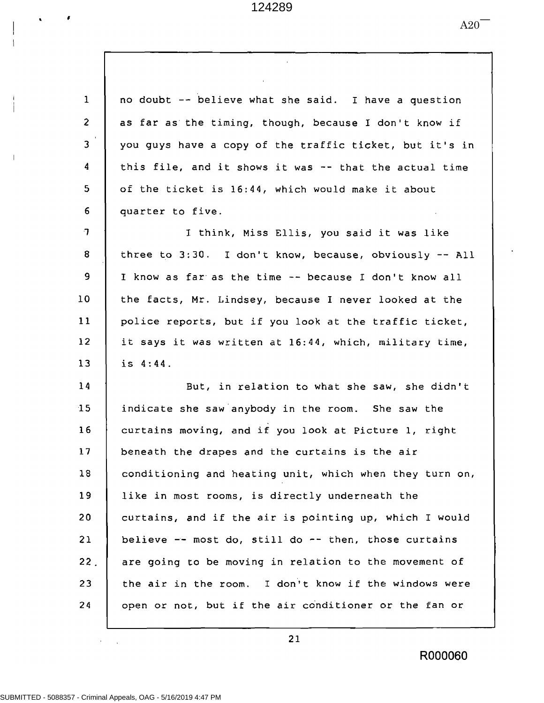$\mathcal{A}$ 

 $A20$ <sup>--</sup>

| $\mathbf{1}$             | no doubt -- believe what she said. I have a question    |
|--------------------------|---------------------------------------------------------|
| $\overline{2}$           | as far as the timing, though, because I don't know if   |
| 3                        | you guys have a copy of the traffic ticket, but it's in |
| $\overline{4}$           | this file, and it shows it was -- that the actual time  |
| $5\phantom{.}$           | of the ticket is 16:44, which would make it about       |
| $6\phantom{1}$           | quarter to five.                                        |
| $\overline{\mathcal{L}}$ | I think, Miss Ellis, you said it was like               |
| 8                        | three to 3:30. I don't know, because, obviously -- All  |
| 9                        | I know as far as the time -- because I don't know all   |
| 10                       | the facts, Mr. Lindsey, because I never looked at the   |
| 11                       | police reports, but if you look at the traffic ticket,  |
| 12                       | it says it was written at 16:44, which, military time,  |
| 13                       | is 4:44.                                                |
| 14                       | But, in relation to what she saw, she didn't            |
| 15                       | indicate she saw anybody in the room. She saw the       |
| 16                       | curtains moving, and if you look at Picture 1, right    |
| 17                       | beneath the drapes and the curtains is the air          |
| 18                       | conditioning and heating unit, which when they turn on, |
| 19                       | like in most rooms, is directly underneath the          |
| 20                       | curtains, and if the air is pointing up, which I would  |
| 21                       | believe -- most do, still do -- then, those curtains    |
| 22.                      | are going to be moving in relation to the movement of   |
| 23                       | the air in the room. I don't know if the windows were   |
| 24                       | open or not, but if the air conditioner or the fan or   |

 $21$ 

R000060

 $\pmb{\ell}$ 

 $\hat{\mathbf{x}}$ 

 $\begin{array}{c} \begin{array}{c} \end{array} \end{array}$  $\overline{1}$ 

 $\mathbf i$  $\overline{\phantom{a}}$ 

 $\bar{1}$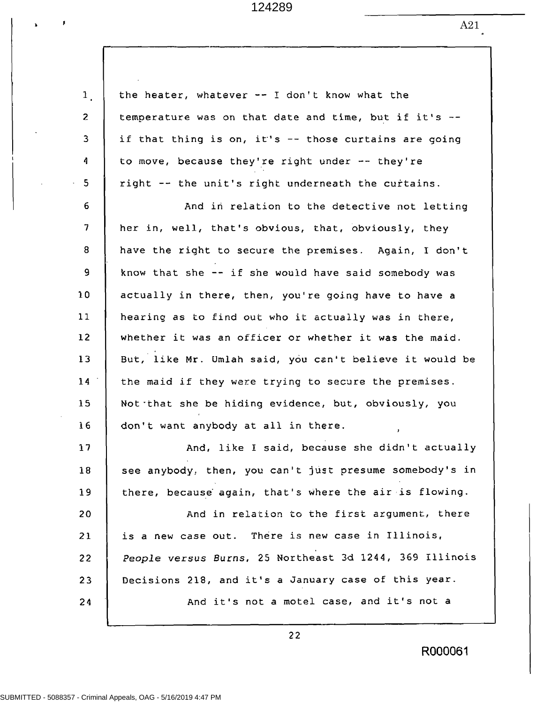| $\mathbf{1}$ . | the heater, whatever $--$ I don't know what the         |
|----------------|---------------------------------------------------------|
| $\overline{z}$ | temperature was on that date and time, but if it's --   |
| 3              | if that thing is on, it's -- those curtains are going   |
| 4              | to move, because they're right under -- they're         |
| 5              | right -- the unit's right underneath the curtains.      |
| 6              | And in relation to the detective not letting            |
| 7              | her in, well, that's obvious, that, obviously, they     |
| 8              | have the right to secure the premises. Again, I don't   |
| 9              | know that she -- if she would have said somebody was    |
| 10             | actually in there, then, you're going have to have a    |
| 11             | hearing as to find out who it actually was in there,    |
| 12             | whether it was an officer or whether it was the maid.   |
| 13             | But, like Mr. Umlah said, you can't believe it would be |
| 14             | the maid if they were trying to secure the premises.    |
| 15             | Not that she be hiding evidence, but, obviously, you    |
| 16             | don't want anybody at all in there.<br>$\pmb{\cdot}$    |
| 17             | And, like I said, because she didn't actually           |
| 18             | see anybody, then, you can't just presume somebody's in |
| 19             | there, because again, that's where the air is flowing.  |
| 20             | And in relation to the first argument, there            |
| 21             | is a new case out. There is new case in Illinois,       |
| 22             | People versus Burns, 25 Northeast 3d 1244, 369 Illinois |
| 23             | Decisions 218, and it's a January case of this year.    |
| 24             | And it's not a motel case, and it's not a               |
|                |                                                         |

 $22$ 

R000061

 $\pmb{\mathfrak{p}}$ 

 $\mathbf{r}$ 

 $A21$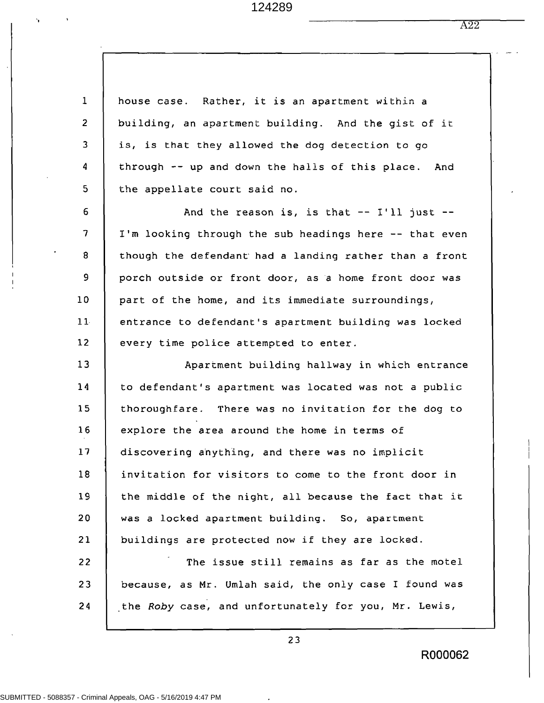A22

| $\mathbf{1}$   | house case. Rather, it is an apartment within a        |
|----------------|--------------------------------------------------------|
| $\overline{2}$ | building, an apartment building. And the gist of it    |
| 3              | is, is that they allowed the dog detection to go       |
| 4              | through -- up and down the halls of this place. And    |
| 5              | the appellate court said no.                           |
| 6              | And the reason is, is that $--$ I'll just $--$         |
| 7              | I'm looking through the sub headings here -- that even |
| 8              | though the defendant had a landing rather than a front |
| 9              | porch outside or front door, as a home front door was  |
| 10             | part of the home, and its immediate surroundings,      |
| 11             | entrance to defendant's apartment building was locked  |
| 12             | every time police attempted to enter.                  |
| 13             | Apartment building hallway in which entrance           |
| 14             | to defendant's apartment was located was not a public  |
| 15             | thoroughfare. There was no invitation for the dog to   |
| 16             | explore the area around the home in terms of           |
| 17             | discovering anything, and there was no implicit        |
| 18             | invitation for visitors to come to the front door in   |
| 19             | the middle of the night, all because the fact that it  |
| 20             | was a locked apartment building. So, apartment         |
| 21             |                                                        |
|                | buildings are protected now if they are locked.        |
| 22             | The issue still remains as far as the motel            |
| 23             | because, as Mr. Umlah said, the only case I found was  |
| 24             | the Roby case, and unfortunately for you, Mr. Lewis,   |

 $23$ 

 $\bullet$ 

R000062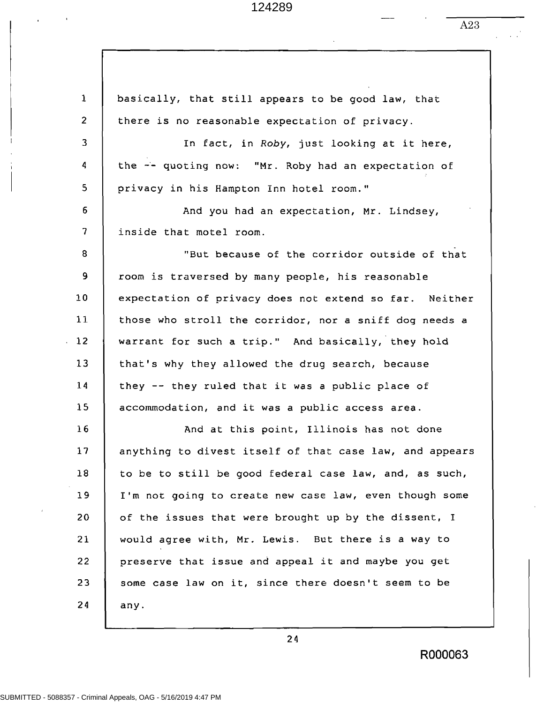$\mathbf{1}$ basically, that still appears to be good law, that  $\overline{2}$ there is no reasonable expectation of privacy. 3 In fact, in Roby, just looking at it here, 4 the -- quoting now: "Mr. Roby had an expectation of 5 privacy in his Hampton Inn hotel room."  $6\phantom{1}$ And you had an expectation, Mr. Lindsey,  $\overline{7}$ inside that motel room. 8 "But because of the corridor outside of that 9 room is traversed by many people, his reasonable  $10$ expectation of privacy does not extend so far. Neither  $11$ those who stroll the corridor, nor a sniff dog needs a warrant for such a trip." And basically, they hold  $12$  $13$ that's why they allowed the drug search, because  $14$ they -- they ruled that it was a public place of  $15$ accommodation, and it was a public access area.  $16$ And at this point, Illinois has not done  $17$ anything to divest itself of that case law, and appears  $18$ to be to still be good federal case law, and, as such, 19 I'm not going to create new case law, even though some 20 of the issues that were brought up by the dissent, I 21 would agree with, Mr. Lewis. But there is a way to 22 preserve that issue and appeal it and maybe you get 23 some case law on it, since there doesn't seem to be 24 any.

24

R000063

A23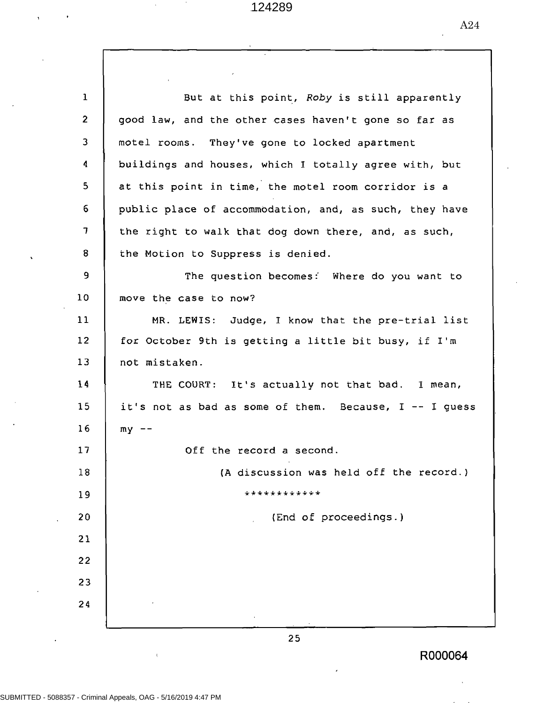| $\mathbf{1}$            | But at this point, Roby is still apparently               |
|-------------------------|-----------------------------------------------------------|
| $\mathbf{2}$            | good law, and the other cases haven't gone so far as      |
| 3                       | motel rooms. They've gone to locked apartment             |
| 4                       | buildings and houses, which I totally agree with, but     |
| 5                       | at this point in time, the motel room corridor is a       |
| $6\phantom{a}$          | public place of accommodation, and, as such, they have    |
| $\overline{\mathbf{z}}$ | the right to walk that dog down there, and, as such,      |
| 8                       | the Motion to Suppress is denied.                         |
| 9                       | The question becomes: Where do you want to                |
| 10                      | move the case to now?                                     |
| 11                      | MR. LEWIS: Judge, I know that the pre-trial list          |
| 12                      | for October 9th is getting a little bit busy, if I'm      |
| 13                      | not mistaken.                                             |
| 14                      | THE COURT: It's actually not that bad. I mean,            |
| 15                      | it's not as bad as some of them. Because, $I - - I$ guess |
| 16                      | $my$ --                                                   |
| 17                      | Off the record a second.                                  |
| 18                      | (A discussion was held off the record.)                   |
| 19                      | ************                                              |
| 20                      | (End of proceedings.)                                     |
| 21                      |                                                           |
| 22                      |                                                           |
| 23                      |                                                           |
| 24                      |                                                           |
|                         |                                                           |

 $25$ 

R000064

 $\mathbf{f}$ 

A24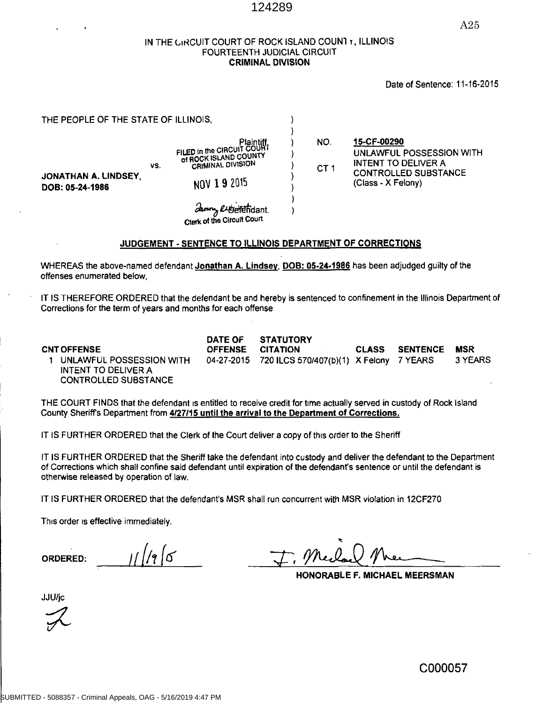A25

#### IN THE CIRCUIT COURT OF ROCK ISLAND COUNT T, ILLINOIS FOURTEENTH JUDICIAL CIRCUIT **CRIMINAL DIVISION**

#### Date of Sentence: 11-16-2015

| THE PEOPLE OF THE STATE OF ILLINOIS,    |     |                                                                                                                                           |                        |                                                                                                                            |
|-----------------------------------------|-----|-------------------------------------------------------------------------------------------------------------------------------------------|------------------------|----------------------------------------------------------------------------------------------------------------------------|
| JONATHAN A. LINDSEY,<br>DOB: 05-24-1986 | VS. | Plaintiff<br>FILED in the CIRCUIT COURT<br>of ROCK ISLAND COUNTY<br><b>CRIMINAL DIVISION</b><br>NOV 19 2015<br>Clerk of the Circuit Court | NO.<br>CT <sub>1</sub> | 15-CF-00290<br>UNLAWFUL POSSESSION WITH<br><b>INTENT TO DELIVER A</b><br><b>CONTROLLED SUBSTANCE</b><br>(Class - X Felony) |

#### JUDGEMENT - SENTENCE TO ILLINOIS DEPARTMENT OF CORRECTIONS

WHEREAS the above-named defendant Jonathan A. Lindsey, DOB: 05-24-1986 has been adjudged guilty of the offenses enumerated below.

IT IS THEREFORE ORDERED that the defendant be and hereby is sentenced to confinement in the Illinois Department of Corrections for the term of years and months for each offense

**CNT OFFENSE** 

DATE OF **STATUTORY OFFENSE** 

1 UNLAWFUL POSSESSION WITH **INTENT TO DELIVER A CONTROLLED SUBSTANCE** 

**CITATION CLASS** 04-27-2015 720 ILCS 570/407(b)(1) X Felony 7 YEARS

**SENTENCE** 

**MSR** 3 YEARS

THE COURT FINDS that the defendant is entitled to receive credit for time actually served in custody of Rock Island County Sheriff's Department from 4/27/15 until the arrival to the Department of Corrections.

IT IS FURTHER ORDERED that the Clerk of the Court deliver a copy of this order to the Sheriff

IT IS FURTHER ORDERED that the Sheriff take the defendant into custody and deliver the defendant to the Department of Corrections which shall confine said defendant until expiration of the defendant's sentence or until the defendant is otherwise released by operation of law.

IT IS FURTHER ORDERED that the defendant's MSR shall run concurrent with MSR violation in 12CF270

This order is effective immediately.

**ORDERED:** 

HONORABLE F. MICHAEL MEERSMAN

**JJU/jc**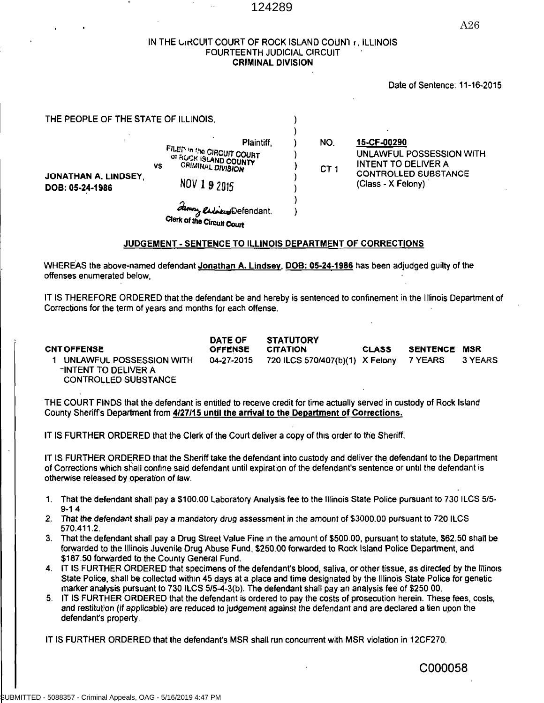#### IN THE GIRCUIT COURT OF ROCK ISLAND COUNT 1, ILLINOIS FOURTEENTH JUDICIAL CIRCUIT **CRIMINAL DIVISION**

#### Date of Sentence: 11-16-2015

| THE PEOPLE OF THE STATE OF ILLINOIS,    |                                                                                                                                                                                     |                        |                                                                                                                     |
|-----------------------------------------|-------------------------------------------------------------------------------------------------------------------------------------------------------------------------------------|------------------------|---------------------------------------------------------------------------------------------------------------------|
| JONATHAN A. LINDSEY,<br>DOB: 05-24-1986 | Plaintiff.<br>FILEN In the CIRCUIT COURT<br>OF ROCK ISLAND COUNTY<br><b>CRIMINAL DIVISION</b><br>٧S<br>NOV 1 9 2015<br>amon <i>Cadacud</i> Defendant.<br>Clerk of the Circuit Court | NO.<br>CT <sub>1</sub> | 15-CF-00290<br>UNLAWFUL POSSESSION WITH<br>INTENT TO DELIVER A<br><b>CONTROLLED SUBSTANCE</b><br>(Class - X Felony) |

#### **JUDGEMENT - SENTENCE TO ILLINOIS DEPARTMENT OF CORRECTIONS**

WHEREAS the above-named defendant Jonathan A. Lindsey, DOB: 05-24-1986 has been adjudged guilty of the offenses enumerated below.

IT IS THEREFORE ORDERED that the defendant be and hereby is sentenced to confinement in the Illinois Department of Corrections for the term of years and months for each offense.

**DATE OF STATUTORY CNT OFFENSE OFFENSE CITATION CLASS SENTENCE MSR** 720 ILCS 570/407(b)(1) X Felony 1 UNLAWFUL POSSESSION WITH 04-27-2015 7 YEARS 3 YEARS -INTENT TO DELIVER A **CONTROLLED SUBSTANCE** 

THE COURT FINDS that the defendant is entitled to receive credit for time actually served in custody of Rock Island County Sheriff's Department from 4/27/15 until the arrival to the Department of Corrections.

IT IS FURTHER ORDERED that the Clerk of the Court deliver a copy of this order to the Sheriff.

IT IS FURTHER ORDERED that the Sheriff take the defendant into custody and deliver the defendant to the Department of Corrections which shall confine said defendant until expiration of the defendant's sentence or until the defendant is otherwise released by operation of law.

- 1. That the defendant shall pay a \$100.00 Laboratory Analysis fee to the Illinois State Police pursuant to 730 ILCS 5/5- $9 - 14$
- 2. That the defendant shall pay a mandatory drug assessment in the amount of \$3000.00 pursuant to 720 ILCS 570.411.2.
- 3. That the defendant shall pay a Drug Street Value Fine in the amount of \$500.00, pursuant to statute, \$62.50 shall be forwarded to the Illinois Juvenile Drug Abuse Fund, \$250.00 forwarded to Rock Island Police Department, and \$187.50 forwarded to the County General Fund.
- 4. IT IS FURTHER ORDERED that specimens of the defendant's blood, saliva, or other tissue, as directed by the Illinois State Police, shall be collected within 45 days at a place and time designated by the Illinois State Police for genetic marker analysis pursuant to 730 ILCS 5/5-4-3(b). The defendant shall pay an analysis fee of \$250 00.
- 5. IT IS FURTHER ORDERED that the defendant is ordered to pay the costs of prosecution herein. These fees, costs, and restitution (if applicable) are reduced to judgement against the defendant and are declared a lien upon the defendant's property.

IT IS FURTHER ORDERED that the defendant's MSR shall run concurrent with MSR violation in 12CF270.

C000058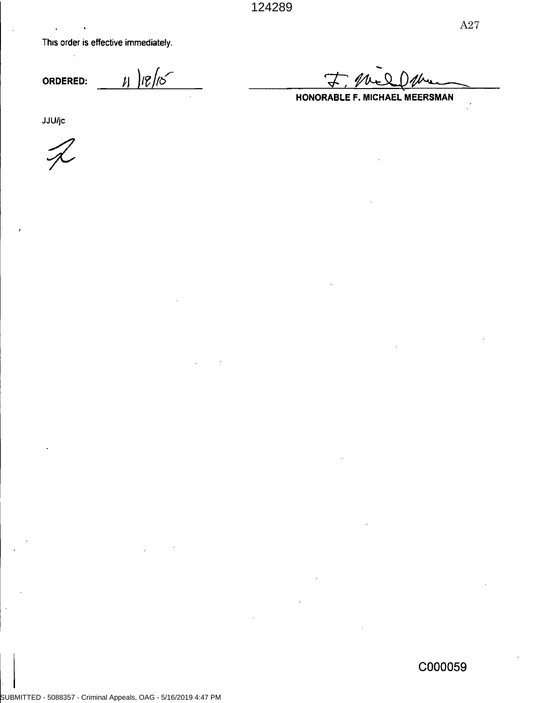This order is effective immediately.

 $11 |18|15$ ORDERED:

HONORABLE F. MICHAEL MEERSMAN

**JJU/jc**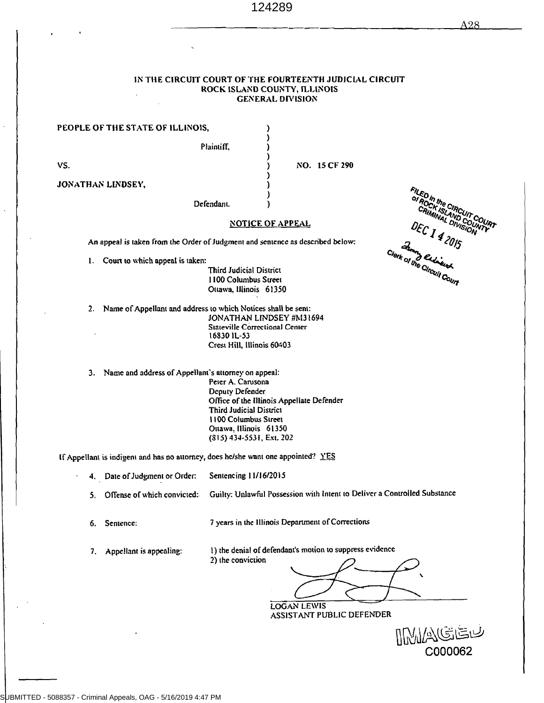#### IN THE CIRCUIT COURT OF THE FOURTEENTH JUDICIAL CIRCUIT ROCK ISLAND COUNTY, ILLINOIS **GENERAL DIVISION**

PEOPLE OF THE STATE OF ILLINOIS,

Plaintiff,

VS.

JONATHAN LINDSEY,

NO. 15 CF 290

Defendant.

#### **NOTICE OF APPEAL**

An appeal is taken from the Order of Judgment and sentence as described below:

1. Court to which appeal is taken:

**Third Judicial District** 1100 Columbus Street Ottawa, Illinois 61350

2. Name of Appellant and address to which Notices shall be sent: JONATHAN LINDSEY #M31694 **Stateville Correctional Center** 16830 IL-53 Crest Hill, Illinois 60403

3. Name and address of Appellant's attorney on appeal:

Peter A. Carusona Deputy Defender Office of the Illinois Appellate Defender Third Judicial District 1100 Columbus Street Ottawa, Illinois 61350 (\$15) 434-5531, Ext. 202

If Appellant is indigent and has no attorney, does he/she want one appointed? YES

4. Date of Judgment or Order: Sentencing 11/16/2015

Guilty: Unlawful Possession with Intent to Deliver a Controlled Substance Offense of which convicted: 5.

Sentence: 6.

7 years in the Illinois Department of Corrections

7. Appellant is appealing:

1) the denial of defendant's motion to suppress evidence 2) the conviction

**LOGAN LEWIS** ASSISTANT PUBLIC DEFENDER

C000062

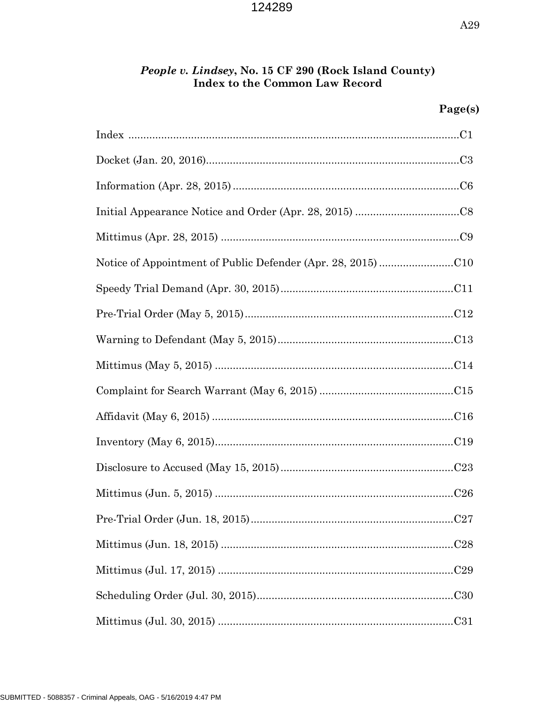# People v. Lindsey, No. 15 CF 290 (Rock Island County)<br>Index to the Common Law Record

# Page(s)